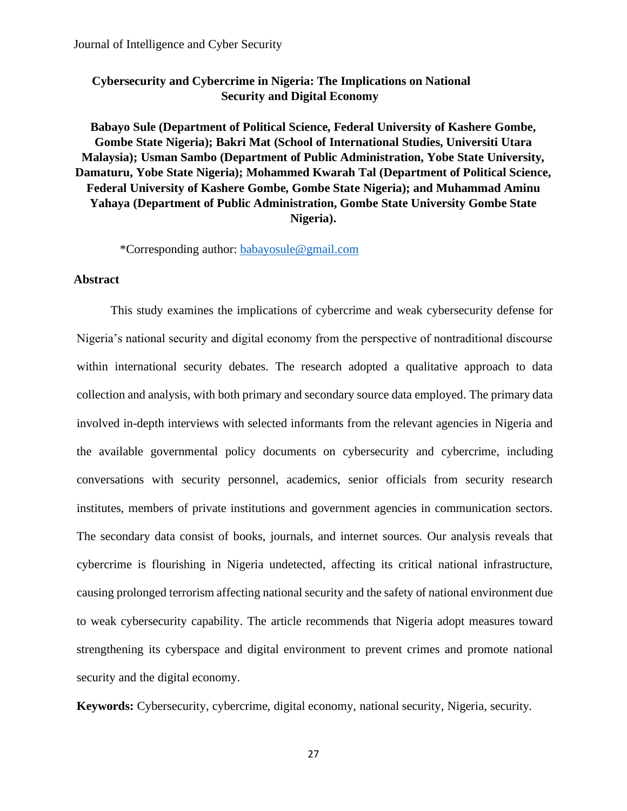# **Cybersecurity and Cybercrime in Nigeria: The Implications on National Security and Digital Economy**

# **Babayo Sule (Department of Political Science, Federal University of Kashere Gombe, Gombe State Nigeria); Bakri Mat (School of International Studies, Universiti Utara Malaysia); Usman Sambo (Department of Public Administration, Yobe State University, Damaturu, Yobe State Nigeria); Mohammed Kwarah Tal (Department of Political Science, Federal University of Kashere Gombe, Gombe State Nigeria); and Muhammad Aminu Yahaya (Department of Public Administration, Gombe State University Gombe State Nigeria).**

\*Corresponding author: [babayosule@gmail.com](mailto:babayosule@gmail.com)

#### **Abstract**

This study examines the implications of cybercrime and weak cybersecurity defense for Nigeria's national security and digital economy from the perspective of nontraditional discourse within international security debates. The research adopted a qualitative approach to data collection and analysis, with both primary and secondary source data employed. The primary data involved in-depth interviews with selected informants from the relevant agencies in Nigeria and the available governmental policy documents on cybersecurity and cybercrime, including conversations with security personnel, academics, senior officials from security research institutes, members of private institutions and government agencies in communication sectors. The secondary data consist of books, journals, and internet sources. Our analysis reveals that cybercrime is flourishing in Nigeria undetected, affecting its critical national infrastructure, causing prolonged terrorism affecting national security and the safety of national environment due to weak cybersecurity capability. The article recommends that Nigeria adopt measures toward strengthening its cyberspace and digital environment to prevent crimes and promote national security and the digital economy.

**Keywords:** Cybersecurity, cybercrime, digital economy, national security, Nigeria, security.

27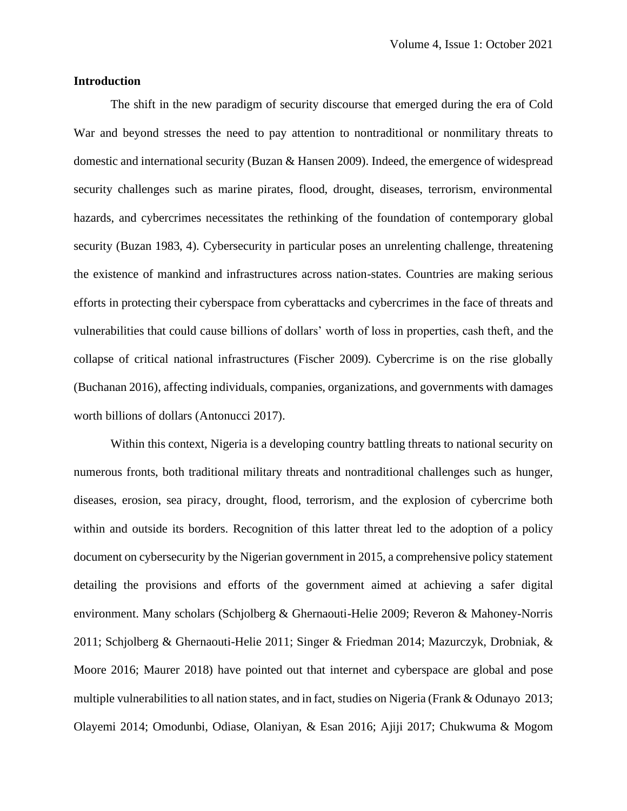## **Introduction**

The shift in the new paradigm of security discourse that emerged during the era of Cold War and beyond stresses the need to pay attention to nontraditional or nonmilitary threats to domestic and international security (Buzan & Hansen 2009). Indeed, the emergence of widespread security challenges such as marine pirates, flood, drought, diseases, terrorism, environmental hazards, and cybercrimes necessitates the rethinking of the foundation of contemporary global security (Buzan 1983, 4). Cybersecurity in particular poses an unrelenting challenge, threatening the existence of mankind and infrastructures across nation-states. Countries are making serious efforts in protecting their cyberspace from cyberattacks and cybercrimes in the face of threats and vulnerabilities that could cause billions of dollars' worth of loss in properties, cash theft, and the collapse of critical national infrastructures (Fischer 2009). Cybercrime is on the rise globally (Buchanan 2016), affecting individuals, companies, organizations, and governments with damages worth billions of dollars (Antonucci 2017).

Within this context, Nigeria is a developing country battling threats to national security on numerous fronts, both traditional military threats and nontraditional challenges such as hunger, diseases, erosion, sea piracy, drought, flood, terrorism, and the explosion of cybercrime both within and outside its borders. Recognition of this latter threat led to the adoption of a policy document on cybersecurity by the Nigerian government in 2015, a comprehensive policy statement detailing the provisions and efforts of the government aimed at achieving a safer digital environment. Many scholars (Schjolberg & Ghernaouti-Helie 2009; Reveron & Mahoney-Norris 2011; Schjolberg & Ghernaouti-Helie 2011; Singer & Friedman 2014; Mazurczyk, Drobniak, & Moore 2016; Maurer 2018) have pointed out that internet and cyberspace are global and pose multiple vulnerabilities to all nation states, and in fact, studies on Nigeria (Frank & Odunayo 2013; Olayemi 2014; Omodunbi, Odiase, Olaniyan, & Esan 2016; Ajiji 2017; Chukwuma & Mogom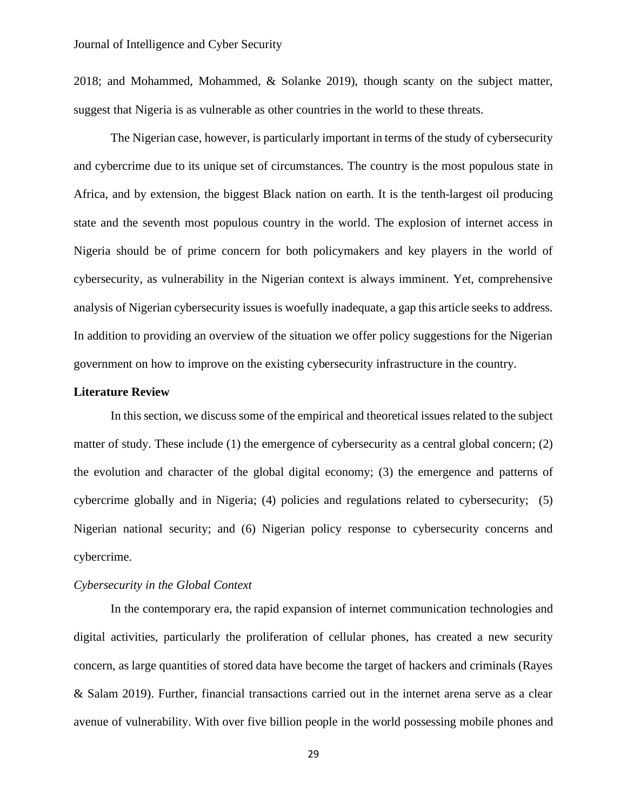2018; and Mohammed, Mohammed, & Solanke 2019), though scanty on the subject matter, suggest that Nigeria is as vulnerable as other countries in the world to these threats.

The Nigerian case, however, is particularly important in terms of the study of cybersecurity and cybercrime due to its unique set of circumstances. The country is the most populous state in Africa, and by extension, the biggest Black nation on earth. It is the tenth-largest oil producing state and the seventh most populous country in the world. The explosion of internet access in Nigeria should be of prime concern for both policymakers and key players in the world of cybersecurity, as vulnerability in the Nigerian context is always imminent. Yet, comprehensive analysis of Nigerian cybersecurity issues is woefully inadequate, a gap this article seeks to address. In addition to providing an overview of the situation we offer policy suggestions for the Nigerian government on how to improve on the existing cybersecurity infrastructure in the country.

#### **Literature Review**

In this section, we discuss some of the empirical and theoretical issues related to the subject matter of study. These include (1) the emergence of cybersecurity as a central global concern; (2) the evolution and character of the global digital economy; (3) the emergence and patterns of cybercrime globally and in Nigeria; (4) policies and regulations related to cybersecurity; (5) Nigerian national security; and (6) Nigerian policy response to cybersecurity concerns and cybercrime.

## *Cybersecurity in the Global Context*

In the contemporary era, the rapid expansion of internet communication technologies and digital activities, particularly the proliferation of cellular phones, has created a new security concern, as large quantities of stored data have become the target of hackers and criminals (Rayes & Salam 2019). Further, financial transactions carried out in the internet arena serve as a clear avenue of vulnerability. With over five billion people in the world possessing mobile phones and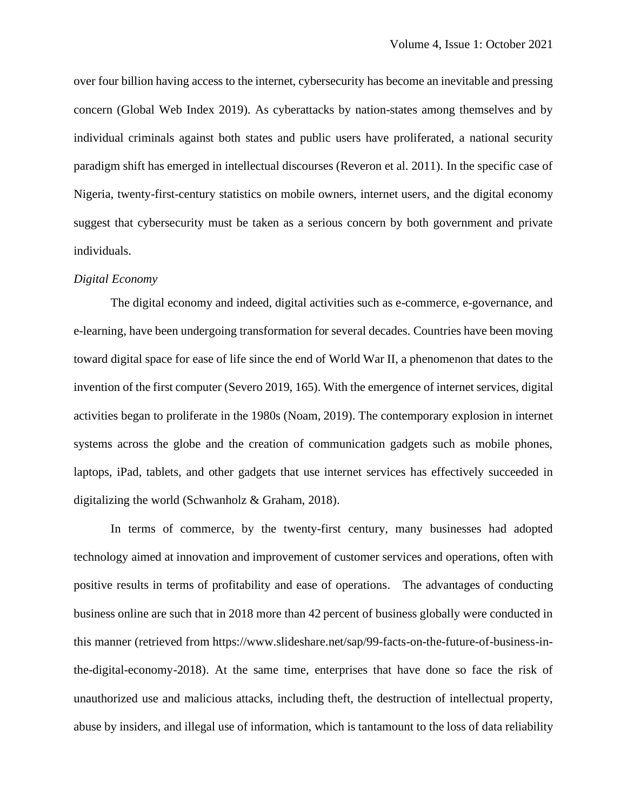over four billion having access to the internet, cybersecurity has become an inevitable and pressing concern (Global Web Index 2019). As cyberattacks by nation-states among themselves and by individual criminals against both states and public users have proliferated, a national security paradigm shift has emerged in intellectual discourses (Reveron et al. 2011). In the specific case of Nigeria, twenty-first-century statistics on mobile owners, internet users, and the digital economy suggest that cybersecurity must be taken as a serious concern by both government and private individuals.

#### *Digital Economy*

The digital economy and indeed, digital activities such as e-commerce, e-governance, and e-learning, have been undergoing transformation for several decades. Countries have been moving toward digital space for ease of life since the end of World War II, a phenomenon that dates to the invention of the first computer (Severo 2019, 165). With the emergence of internet services, digital activities began to proliferate in the 1980s (Noam, 2019). The contemporary explosion in internet systems across the globe and the creation of communication gadgets such as mobile phones, laptops, iPad, tablets, and other gadgets that use internet services has effectively succeeded in digitalizing the world (Schwanholz & Graham, 2018).

In terms of commerce, by the twenty-first century, many businesses had adopted technology aimed at innovation and improvement of customer services and operations, often with positive results in terms of profitability and ease of operations. The advantages of conducting business online are such that in 2018 more than 42 percent of business globally were conducted in this manner (retrieved from https://www.slideshare.net/sap/99-facts-on-the-future-of-business-inthe-digital-economy-2018). At the same time, enterprises that have done so face the risk of unauthorized use and malicious attacks, including theft, the destruction of intellectual property, abuse by insiders, and illegal use of information, which is tantamount to the loss of data reliability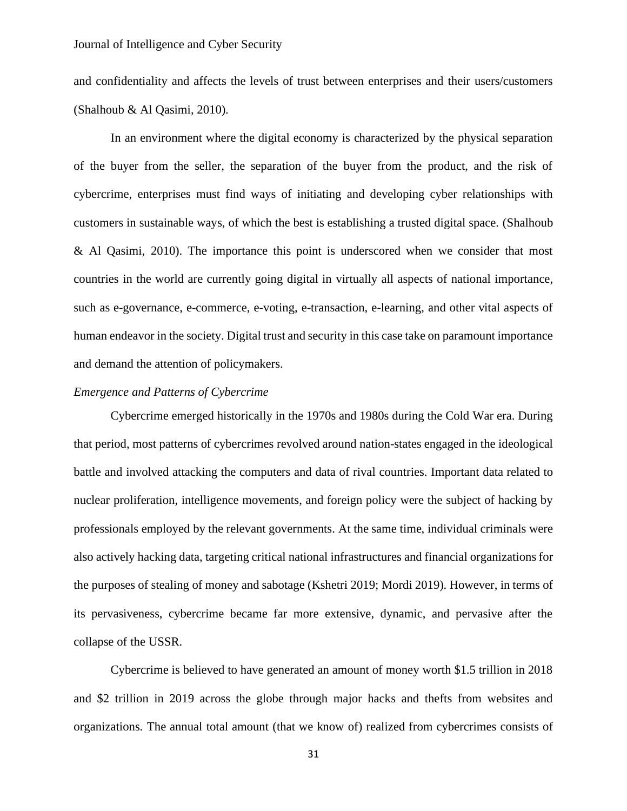and confidentiality and affects the levels of trust between enterprises and their users/customers (Shalhoub & Al Qasimi, 2010).

In an environment where the digital economy is characterized by the physical separation of the buyer from the seller, the separation of the buyer from the product, and the risk of cybercrime, enterprises must find ways of initiating and developing cyber relationships with customers in sustainable ways, of which the best is establishing a trusted digital space. (Shalhoub & Al Qasimi, 2010). The importance this point is underscored when we consider that most countries in the world are currently going digital in virtually all aspects of national importance, such as e-governance, e-commerce, e-voting, e-transaction, e-learning, and other vital aspects of human endeavor in the society. Digital trust and security in this case take on paramount importance and demand the attention of policymakers.

## *Emergence and Patterns of Cybercrime*

Cybercrime emerged historically in the 1970s and 1980s during the Cold War era. During that period, most patterns of cybercrimes revolved around nation-states engaged in the ideological battle and involved attacking the computers and data of rival countries. Important data related to nuclear proliferation, intelligence movements, and foreign policy were the subject of hacking by professionals employed by the relevant governments. At the same time, individual criminals were also actively hacking data, targeting critical national infrastructures and financial organizations for the purposes of stealing of money and sabotage (Kshetri 2019; Mordi 2019). However, in terms of its pervasiveness, cybercrime became far more extensive, dynamic, and pervasive after the collapse of the USSR.

Cybercrime is believed to have generated an amount of money worth \$1.5 trillion in 2018 and \$2 trillion in 2019 across the globe through major hacks and thefts from websites and organizations. The annual total amount (that we know of) realized from cybercrimes consists of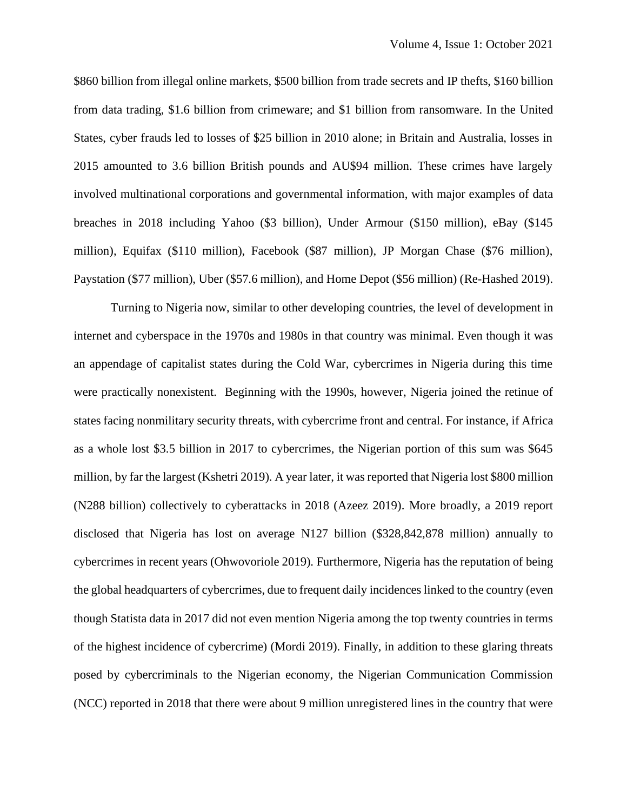\$860 billion from illegal online markets, \$500 billion from trade secrets and IP thefts, \$160 billion from data trading, \$1.6 billion from crimeware; and \$1 billion from ransomware. In the United States, cyber frauds led to losses of \$25 billion in 2010 alone; in Britain and Australia, losses in 2015 amounted to 3.6 billion British pounds and AU\$94 million. These crimes have largely involved multinational corporations and governmental information, with major examples of data breaches in 2018 including Yahoo (\$3 billion), Under Armour (\$150 million), eBay (\$145 million), Equifax (\$110 million), Facebook (\$87 million), JP Morgan Chase (\$76 million), Paystation (\$77 million), Uber (\$57.6 million), and Home Depot (\$56 million) (Re-Hashed 2019).

Turning to Nigeria now, similar to other developing countries, the level of development in internet and cyberspace in the 1970s and 1980s in that country was minimal. Even though it was an appendage of capitalist states during the Cold War, cybercrimes in Nigeria during this time were practically nonexistent. Beginning with the 1990s, however, Nigeria joined the retinue of states facing nonmilitary security threats, with cybercrime front and central. For instance, if Africa as a whole lost \$3.5 billion in 2017 to cybercrimes, the Nigerian portion of this sum was \$645 million, by far the largest (Kshetri 2019). A year later, it was reported that Nigeria lost \$800 million (N288 billion) collectively to cyberattacks in 2018 (Azeez 2019). More broadly, a 2019 report disclosed that Nigeria has lost on average N127 billion (\$328,842,878 million) annually to cybercrimes in recent years (Ohwovoriole 2019). Furthermore, Nigeria has the reputation of being the global headquarters of cybercrimes, due to frequent daily incidences linked to the country (even though Statista data in 2017 did not even mention Nigeria among the top twenty countries in terms of the highest incidence of cybercrime) (Mordi 2019). Finally, in addition to these glaring threats posed by cybercriminals to the Nigerian economy, the Nigerian Communication Commission (NCC) reported in 2018 that there were about 9 million unregistered lines in the country that were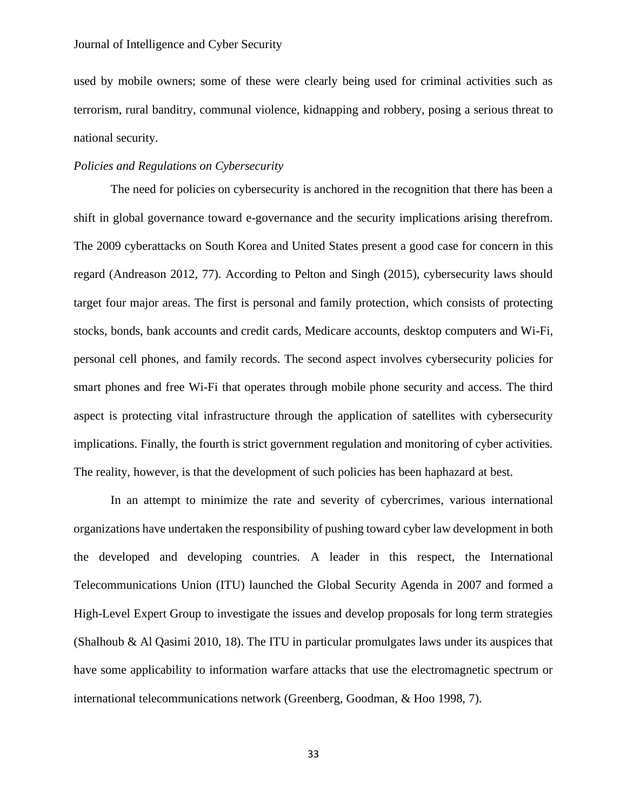used by mobile owners; some of these were clearly being used for criminal activities such as terrorism, rural banditry, communal violence, kidnapping and robbery, posing a serious threat to national security.

## *Policies and Regulations on Cybersecurity*

The need for policies on cybersecurity is anchored in the recognition that there has been a shift in global governance toward e-governance and the security implications arising therefrom. The 2009 cyberattacks on South Korea and United States present a good case for concern in this regard (Andreason 2012, 77). According to Pelton and Singh (2015), cybersecurity laws should target four major areas. The first is personal and family protection, which consists of protecting stocks, bonds, bank accounts and credit cards, Medicare accounts, desktop computers and Wi-Fi, personal cell phones, and family records. The second aspect involves cybersecurity policies for smart phones and free Wi-Fi that operates through mobile phone security and access. The third aspect is protecting vital infrastructure through the application of satellites with cybersecurity implications. Finally, the fourth is strict government regulation and monitoring of cyber activities. The reality, however, is that the development of such policies has been haphazard at best.

In an attempt to minimize the rate and severity of cybercrimes, various international organizations have undertaken the responsibility of pushing toward cyber law development in both the developed and developing countries. A leader in this respect, the International Telecommunications Union (ITU) launched the Global Security Agenda in 2007 and formed a High-Level Expert Group to investigate the issues and develop proposals for long term strategies (Shalhoub & Al Qasimi 2010, 18). The ITU in particular promulgates laws under its auspices that have some applicability to information warfare attacks that use the electromagnetic spectrum or international telecommunications network (Greenberg, Goodman, & Hoo 1998, 7).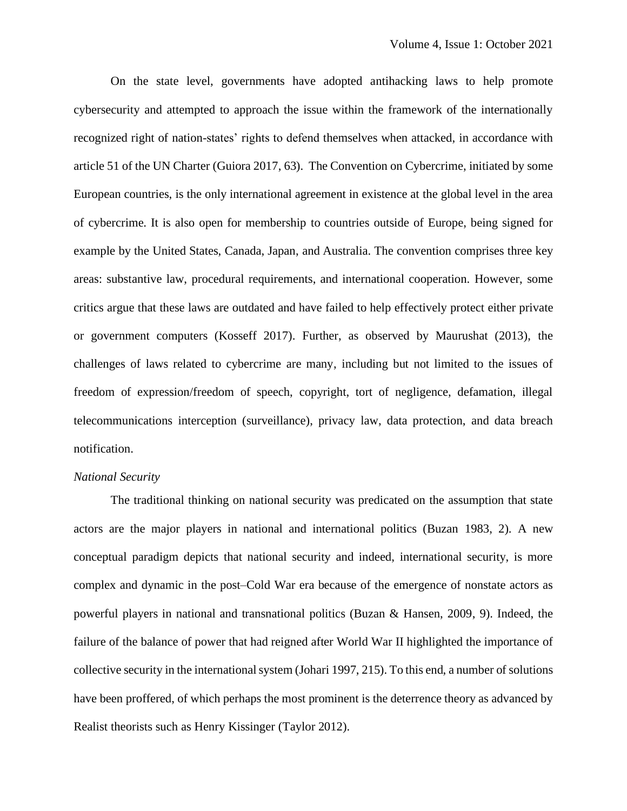On the state level, governments have adopted antihacking laws to help promote cybersecurity and attempted to approach the issue within the framework of the internationally recognized right of nation-states' rights to defend themselves when attacked, in accordance with article 51 of the UN Charter (Guiora 2017, 63). The Convention on Cybercrime, initiated by some European countries, is the only international agreement in existence at the global level in the area of cybercrime. It is also open for membership to countries outside of Europe, being signed for example by the United States, Canada, Japan, and Australia. The convention comprises three key areas: substantive law, procedural requirements, and international cooperation. However, some critics argue that these laws are outdated and have failed to help effectively protect either private or government computers (Kosseff 2017). Further, as observed by Maurushat (2013), the challenges of laws related to cybercrime are many, including but not limited to the issues of freedom of expression/freedom of speech, copyright, tort of negligence, defamation, illegal telecommunications interception (surveillance), privacy law, data protection, and data breach notification.

### *National Security*

The traditional thinking on national security was predicated on the assumption that state actors are the major players in national and international politics (Buzan 1983, 2). A new conceptual paradigm depicts that national security and indeed, international security, is more complex and dynamic in the post–Cold War era because of the emergence of nonstate actors as powerful players in national and transnational politics (Buzan & Hansen, 2009, 9). Indeed, the failure of the balance of power that had reigned after World War II highlighted the importance of collective security in the international system (Johari 1997, 215). To this end, a number of solutions have been proffered, of which perhaps the most prominent is the deterrence theory as advanced by Realist theorists such as Henry Kissinger (Taylor 2012).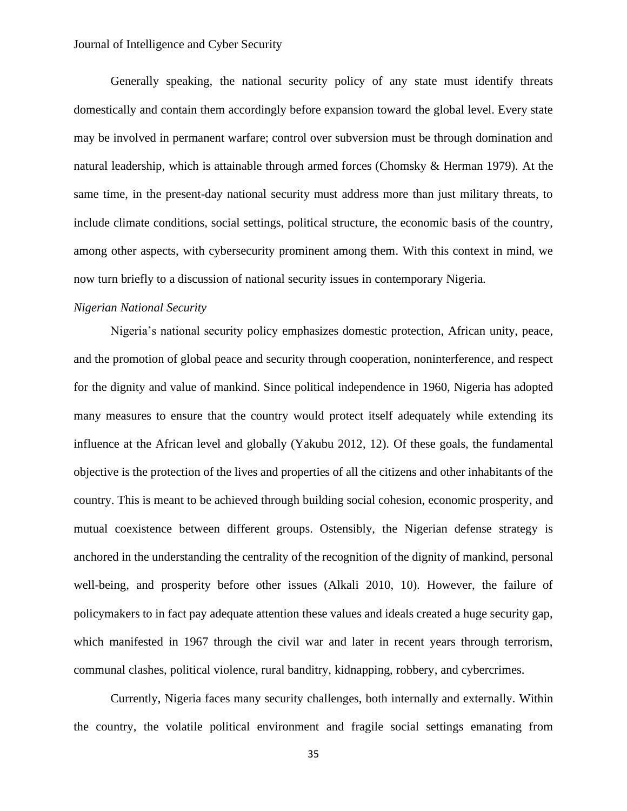Generally speaking, the national security policy of any state must identify threats domestically and contain them accordingly before expansion toward the global level. Every state may be involved in permanent warfare; control over subversion must be through domination and natural leadership, which is attainable through armed forces (Chomsky & Herman 1979). At the same time, in the present-day national security must address more than just military threats, to include climate conditions, social settings, political structure, the economic basis of the country, among other aspects, with cybersecurity prominent among them. With this context in mind, we now turn briefly to a discussion of national security issues in contemporary Nigeria.

## *Nigerian National Security*

Nigeria's national security policy emphasizes domestic protection, African unity, peace, and the promotion of global peace and security through cooperation, noninterference, and respect for the dignity and value of mankind. Since political independence in 1960, Nigeria has adopted many measures to ensure that the country would protect itself adequately while extending its influence at the African level and globally (Yakubu 2012, 12). Of these goals, the fundamental objective is the protection of the lives and properties of all the citizens and other inhabitants of the country. This is meant to be achieved through building social cohesion, economic prosperity, and mutual coexistence between different groups. Ostensibly, the Nigerian defense strategy is anchored in the understanding the centrality of the recognition of the dignity of mankind, personal well-being, and prosperity before other issues (Alkali 2010, 10). However, the failure of policymakers to in fact pay adequate attention these values and ideals created a huge security gap, which manifested in 1967 through the civil war and later in recent years through terrorism, communal clashes, political violence, rural banditry, kidnapping, robbery, and cybercrimes.

Currently, Nigeria faces many security challenges, both internally and externally. Within the country, the volatile political environment and fragile social settings emanating from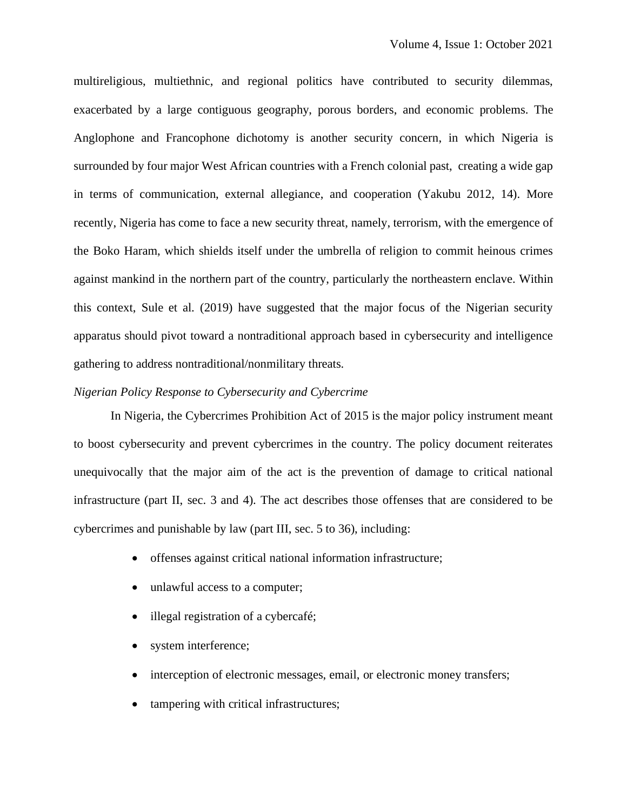multireligious, multiethnic, and regional politics have contributed to security dilemmas, exacerbated by a large contiguous geography, porous borders, and economic problems. The Anglophone and Francophone dichotomy is another security concern, in which Nigeria is surrounded by four major West African countries with a French colonial past, creating a wide gap in terms of communication, external allegiance, and cooperation (Yakubu 2012, 14). More recently, Nigeria has come to face a new security threat, namely, terrorism, with the emergence of the Boko Haram, which shields itself under the umbrella of religion to commit heinous crimes against mankind in the northern part of the country, particularly the northeastern enclave. Within this context, Sule et al. (2019) have suggested that the major focus of the Nigerian security apparatus should pivot toward a nontraditional approach based in cybersecurity and intelligence gathering to address nontraditional/nonmilitary threats.

#### *Nigerian Policy Response to Cybersecurity and Cybercrime*

In Nigeria, the Cybercrimes Prohibition Act of 2015 is the major policy instrument meant to boost cybersecurity and prevent cybercrimes in the country. The policy document reiterates unequivocally that the major aim of the act is the prevention of damage to critical national infrastructure (part II, sec. 3 and 4). The act describes those offenses that are considered to be cybercrimes and punishable by law (part III, sec. 5 to 36), including:

- offenses against critical national information infrastructure;
- unlawful access to a computer;
- illegal registration of a cybercafé;
- system interference;
- interception of electronic messages, email, or electronic money transfers;
- tampering with critical infrastructures;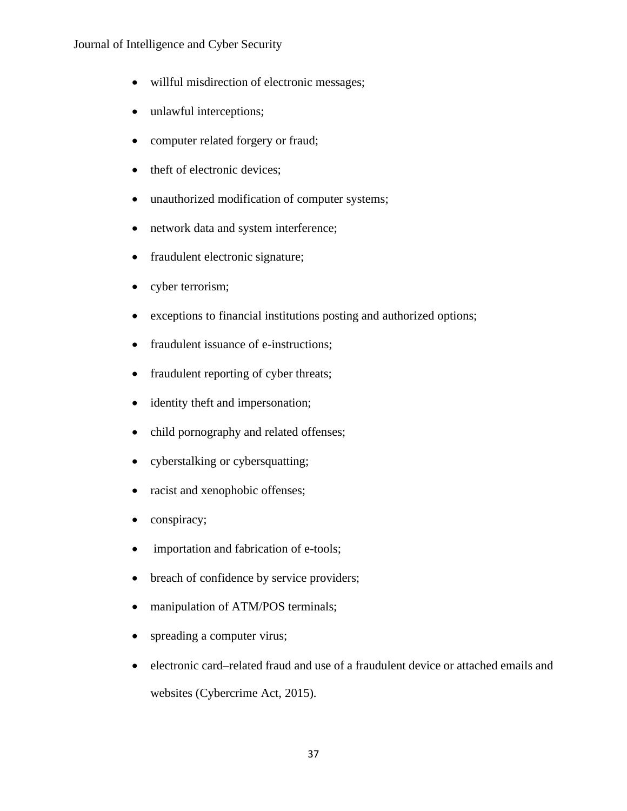- willful misdirection of electronic messages;
- unlawful interceptions;
- computer related forgery or fraud;
- theft of electronic devices;
- unauthorized modification of computer systems;
- network data and system interference;
- fraudulent electronic signature;
- cyber terrorism;
- exceptions to financial institutions posting and authorized options;
- fraudulent issuance of e-instructions;
- fraudulent reporting of cyber threats;
- identity theft and impersonation;
- child pornography and related offenses;
- cyberstalking or cybersquatting;
- racist and xenophobic offenses;
- conspiracy;
- importation and fabrication of e-tools;
- breach of confidence by service providers;
- manipulation of ATM/POS terminals;
- spreading a computer virus;
- electronic card–related fraud and use of a fraudulent device or attached emails and websites (Cybercrime Act, 2015).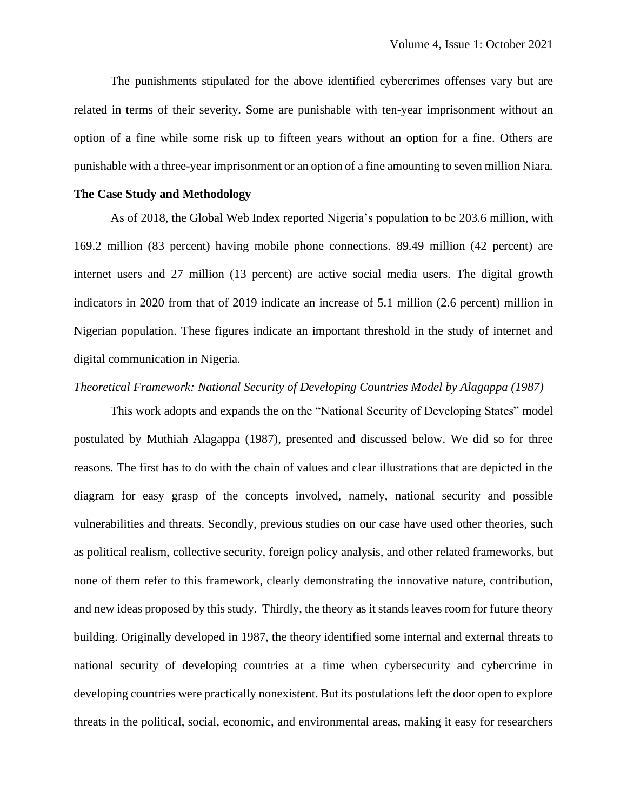The punishments stipulated for the above identified cybercrimes offenses vary but are related in terms of their severity. Some are punishable with ten-year imprisonment without an option of a fine while some risk up to fifteen years without an option for a fine. Others are punishable with a three-year imprisonment or an option of a fine amounting to seven million Niara.

## **The Case Study and Methodology**

As of 2018, the Global Web Index reported Nigeria's population to be 203.6 million, with 169.2 million (83 percent) having mobile phone connections. 89.49 million (42 percent) are internet users and 27 million (13 percent) are active social media users. The digital growth indicators in 2020 from that of 2019 indicate an increase of 5.1 million (2.6 percent) million in Nigerian population. These figures indicate an important threshold in the study of internet and digital communication in Nigeria.

## *Theoretical Framework: National Security of Developing Countries Model by Alagappa (1987)*

This work adopts and expands the on the "National Security of Developing States" model postulated by Muthiah Alagappa (1987), presented and discussed below. We did so for three reasons. The first has to do with the chain of values and clear illustrations that are depicted in the diagram for easy grasp of the concepts involved, namely, national security and possible vulnerabilities and threats. Secondly, previous studies on our case have used other theories, such as political realism, collective security, foreign policy analysis, and other related frameworks, but none of them refer to this framework, clearly demonstrating the innovative nature, contribution, and new ideas proposed by this study. Thirdly, the theory as it stands leaves room for future theory building. Originally developed in 1987, the theory identified some internal and external threats to national security of developing countries at a time when cybersecurity and cybercrime in developing countries were practically nonexistent. But its postulations left the door open to explore threats in the political, social, economic, and environmental areas, making it easy for researchers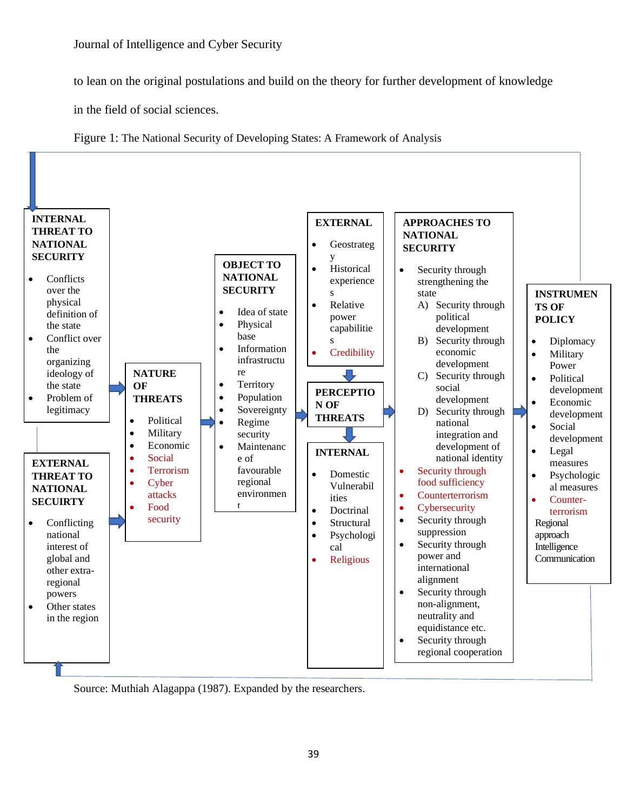to lean on the original postulations and build on the theory for further development of knowledge

in the field of social sciences.

Figure 1: The National Security of Developing States: A Framework of Analysis



Source: Muthiah Alagappa (1987). Expanded by the researchers.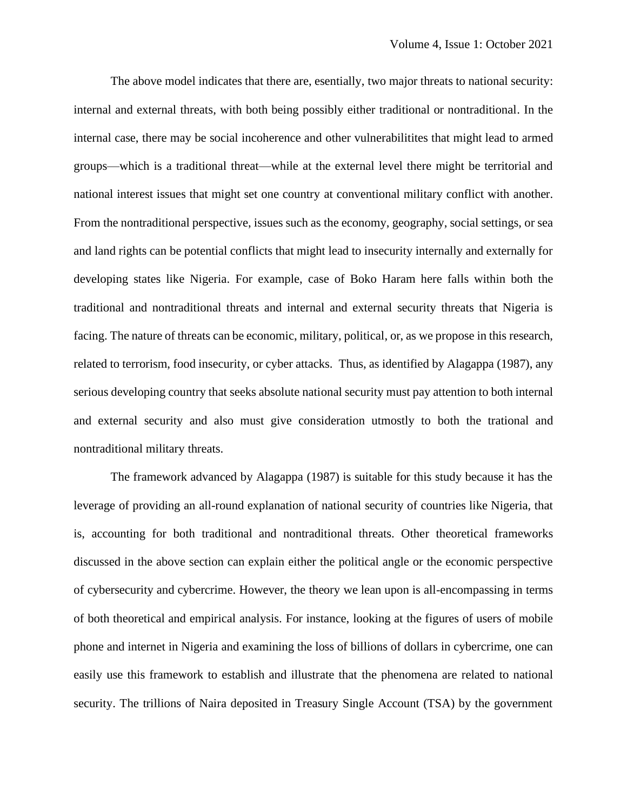The above model indicates that there are, esentially, two major threats to national security: internal and external threats, with both being possibly either traditional or nontraditional. In the internal case, there may be social incoherence and other vulnerabilitites that might lead to armed groups—which is a traditional threat—while at the external level there might be territorial and national interest issues that might set one country at conventional military conflict with another. From the nontraditional perspective, issues such as the economy, geography, social settings, or sea and land rights can be potential conflicts that might lead to insecurity internally and externally for developing states like Nigeria. For example, case of Boko Haram here falls within both the traditional and nontraditional threats and internal and external security threats that Nigeria is facing. The nature of threats can be economic, military, political, or, as we propose in this research, related to terrorism, food insecurity, or cyber attacks. Thus, as identified by Alagappa (1987), any serious developing country that seeks absolute national security must pay attention to both internal and external security and also must give consideration utmostly to both the trational and nontraditional military threats.

The framework advanced by Alagappa (1987) is suitable for this study because it has the leverage of providing an all-round explanation of national security of countries like Nigeria, that is, accounting for both traditional and nontraditional threats. Other theoretical frameworks discussed in the above section can explain either the political angle or the economic perspective of cybersecurity and cybercrime. However, the theory we lean upon is all-encompassing in terms of both theoretical and empirical analysis. For instance, looking at the figures of users of mobile phone and internet in Nigeria and examining the loss of billions of dollars in cybercrime, one can easily use this framework to establish and illustrate that the phenomena are related to national security. The trillions of Naira deposited in Treasury Single Account (TSA) by the government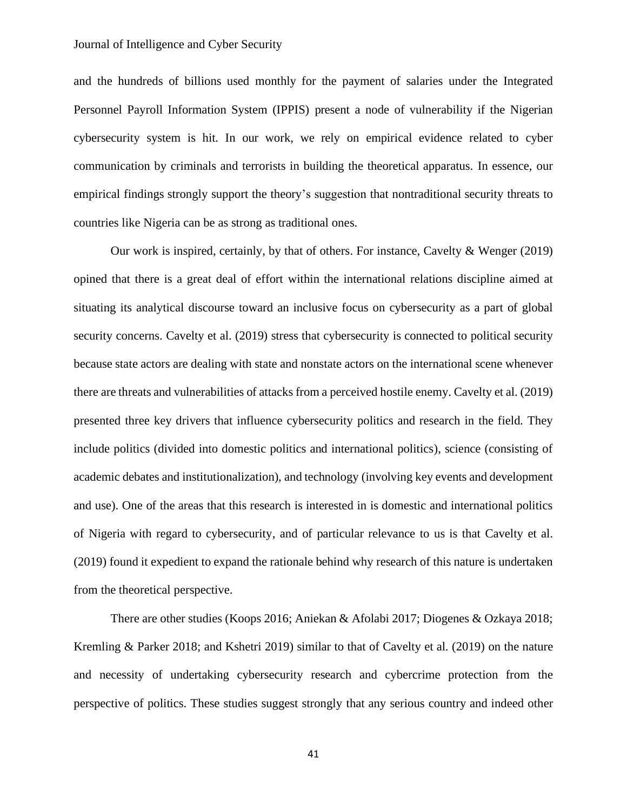and the hundreds of billions used monthly for the payment of salaries under the Integrated Personnel Payroll Information System (IPPIS) present a node of vulnerability if the Nigerian cybersecurity system is hit. In our work, we rely on empirical evidence related to cyber communication by criminals and terrorists in building the theoretical apparatus. In essence, our empirical findings strongly support the theory's suggestion that nontraditional security threats to countries like Nigeria can be as strong as traditional ones.

Our work is inspired, certainly, by that of others. For instance, Cavelty & Wenger (2019) opined that there is a great deal of effort within the international relations discipline aimed at situating its analytical discourse toward an inclusive focus on cybersecurity as a part of global security concerns. Cavelty et al. (2019) stress that cybersecurity is connected to political security because state actors are dealing with state and nonstate actors on the international scene whenever there are threats and vulnerabilities of attacks from a perceived hostile enemy. Cavelty et al. (2019) presented three key drivers that influence cybersecurity politics and research in the field. They include politics (divided into domestic politics and international politics), science (consisting of academic debates and institutionalization), and technology (involving key events and development and use). One of the areas that this research is interested in is domestic and international politics of Nigeria with regard to cybersecurity, and of particular relevance to us is that Cavelty et al. (2019) found it expedient to expand the rationale behind why research of this nature is undertaken from the theoretical perspective.

There are other studies (Koops 2016; Aniekan & Afolabi 2017; Diogenes & Ozkaya 2018; Kremling & Parker 2018; and Kshetri 2019) similar to that of Cavelty et al. (2019) on the nature and necessity of undertaking cybersecurity research and cybercrime protection from the perspective of politics. These studies suggest strongly that any serious country and indeed other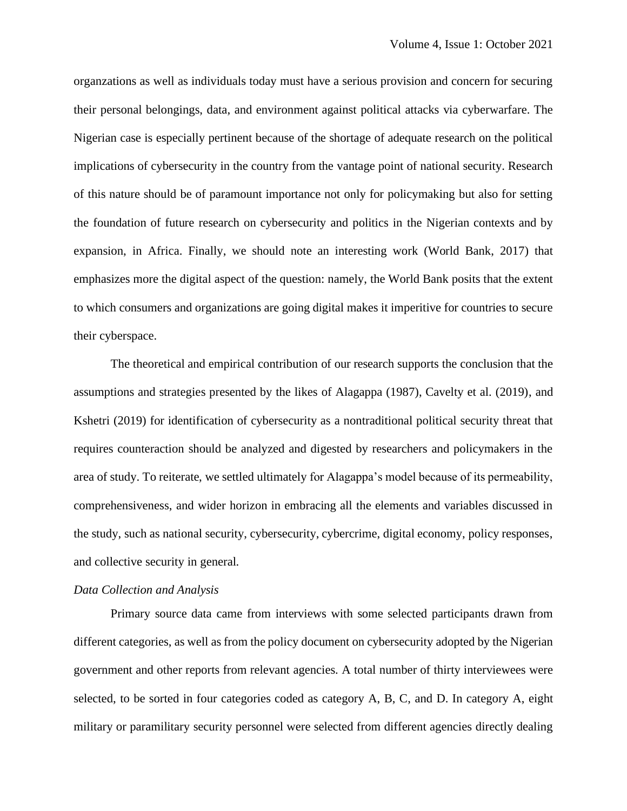organzations as well as individuals today must have a serious provision and concern for securing their personal belongings, data, and environment against political attacks via cyberwarfare. The Nigerian case is especially pertinent because of the shortage of adequate research on the political implications of cybersecurity in the country from the vantage point of national security. Research of this nature should be of paramount importance not only for policymaking but also for setting the foundation of future research on cybersecurity and politics in the Nigerian contexts and by expansion, in Africa. Finally, we should note an interesting work (World Bank, 2017) that emphasizes more the digital aspect of the question: namely, the World Bank posits that the extent to which consumers and organizations are going digital makes it imperitive for countries to secure their cyberspace.

The theoretical and empirical contribution of our research supports the conclusion that the assumptions and strategies presented by the likes of Alagappa (1987), Cavelty et al. (2019), and Kshetri (2019) for identification of cybersecurity as a nontraditional political security threat that requires counteraction should be analyzed and digested by researchers and policymakers in the area of study. To reiterate, we settled ultimately for Alagappa's model because of its permeability, comprehensiveness, and wider horizon in embracing all the elements and variables discussed in the study, such as national security, cybersecurity, cybercrime, digital economy, policy responses, and collective security in general.

### *Data Collection and Analysis*

Primary source data came from interviews with some selected participants drawn from different categories, as well as from the policy document on cybersecurity adopted by the Nigerian government and other reports from relevant agencies. A total number of thirty interviewees were selected, to be sorted in four categories coded as category A, B, C, and D. In category A, eight military or paramilitary security personnel were selected from different agencies directly dealing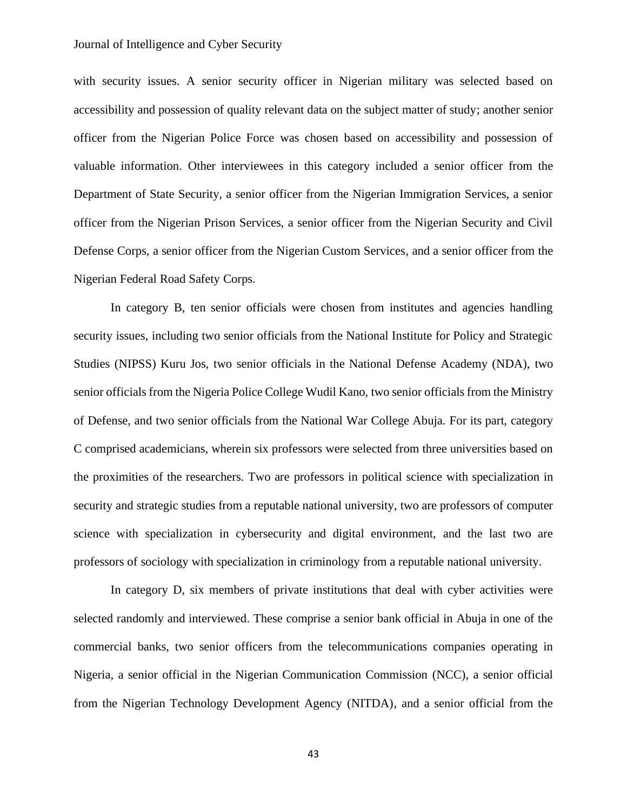with security issues. A senior security officer in Nigerian military was selected based on accessibility and possession of quality relevant data on the subject matter of study; another senior officer from the Nigerian Police Force was chosen based on accessibility and possession of valuable information. Other interviewees in this category included a senior officer from the Department of State Security, a senior officer from the Nigerian Immigration Services, a senior officer from the Nigerian Prison Services, a senior officer from the Nigerian Security and Civil Defense Corps, a senior officer from the Nigerian Custom Services, and a senior officer from the Nigerian Federal Road Safety Corps.

In category B, ten senior officials were chosen from institutes and agencies handling security issues, including two senior officials from the National Institute for Policy and Strategic Studies (NIPSS) Kuru Jos, two senior officials in the National Defense Academy (NDA), two senior officials from the Nigeria Police College Wudil Kano, two senior officials from the Ministry of Defense, and two senior officials from the National War College Abuja. For its part, category C comprised academicians, wherein six professors were selected from three universities based on the proximities of the researchers. Two are professors in political science with specialization in security and strategic studies from a reputable national university, two are professors of computer science with specialization in cybersecurity and digital environment, and the last two are professors of sociology with specialization in criminology from a reputable national university.

In category D, six members of private institutions that deal with cyber activities were selected randomly and interviewed. These comprise a senior bank official in Abuja in one of the commercial banks, two senior officers from the telecommunications companies operating in Nigeria, a senior official in the Nigerian Communication Commission (NCC), a senior official from the Nigerian Technology Development Agency (NITDA), and a senior official from the

43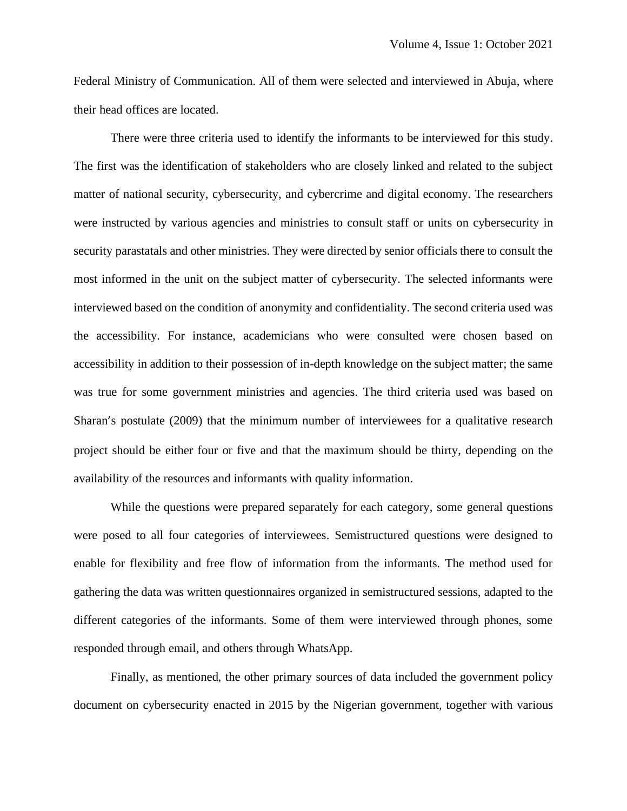Federal Ministry of Communication. All of them were selected and interviewed in Abuja, where their head offices are located.

There were three criteria used to identify the informants to be interviewed for this study. The first was the identification of stakeholders who are closely linked and related to the subject matter of national security, cybersecurity, and cybercrime and digital economy. The researchers were instructed by various agencies and ministries to consult staff or units on cybersecurity in security parastatals and other ministries. They were directed by senior officials there to consult the most informed in the unit on the subject matter of cybersecurity. The selected informants were interviewed based on the condition of anonymity and confidentiality. The second criteria used was the accessibility. For instance, academicians who were consulted were chosen based on accessibility in addition to their possession of in-depth knowledge on the subject matter; the same was true for some government ministries and agencies. The third criteria used was based on Sharan's postulate (2009) that the minimum number of interviewees for a qualitative research project should be either four or five and that the maximum should be thirty, depending on the availability of the resources and informants with quality information.

While the questions were prepared separately for each category, some general questions were posed to all four categories of interviewees. Semistructured questions were designed to enable for flexibility and free flow of information from the informants. The method used for gathering the data was written questionnaires organized in semistructured sessions, adapted to the different categories of the informants. Some of them were interviewed through phones, some responded through email, and others through WhatsApp.

Finally, as mentioned, the other primary sources of data included the government policy document on cybersecurity enacted in 2015 by the Nigerian government, together with various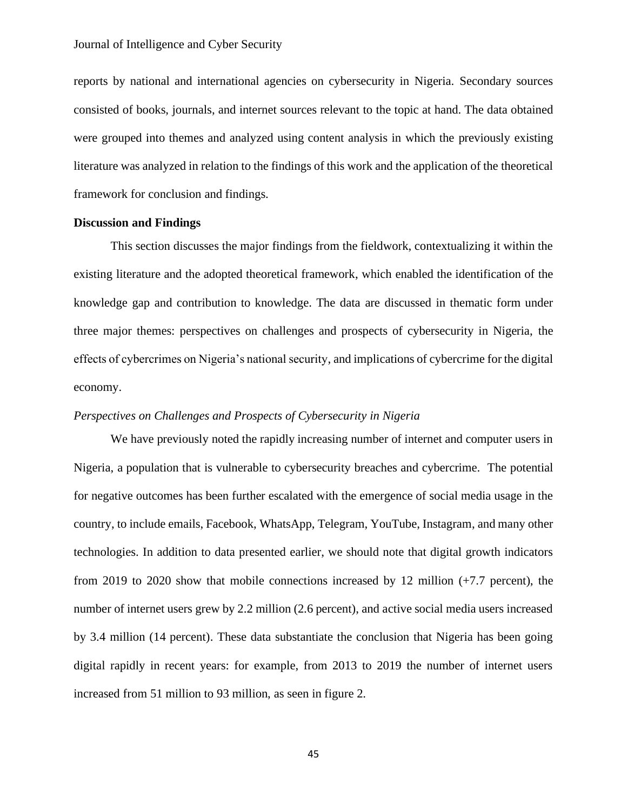reports by national and international agencies on cybersecurity in Nigeria. Secondary sources consisted of books, journals, and internet sources relevant to the topic at hand. The data obtained were grouped into themes and analyzed using content analysis in which the previously existing literature was analyzed in relation to the findings of this work and the application of the theoretical framework for conclusion and findings.

#### **Discussion and Findings**

This section discusses the major findings from the fieldwork, contextualizing it within the existing literature and the adopted theoretical framework, which enabled the identification of the knowledge gap and contribution to knowledge. The data are discussed in thematic form under three major themes: perspectives on challenges and prospects of cybersecurity in Nigeria, the effects of cybercrimes on Nigeria's national security, and implications of cybercrime for the digital economy.

## *Perspectives on Challenges and Prospects of Cybersecurity in Nigeria*

We have previously noted the rapidly increasing number of internet and computer users in Nigeria, a population that is vulnerable to cybersecurity breaches and cybercrime. The potential for negative outcomes has been further escalated with the emergence of social media usage in the country, to include emails, Facebook, WhatsApp, Telegram, YouTube, Instagram, and many other technologies. In addition to data presented earlier, we should note that digital growth indicators from 2019 to 2020 show that mobile connections increased by 12 million (+7.7 percent), the number of internet users grew by 2.2 million (2.6 percent), and active social media users increased by 3.4 million (14 percent). These data substantiate the conclusion that Nigeria has been going digital rapidly in recent years: for example, from 2013 to 2019 the number of internet users increased from 51 million to 93 million, as seen in figure 2.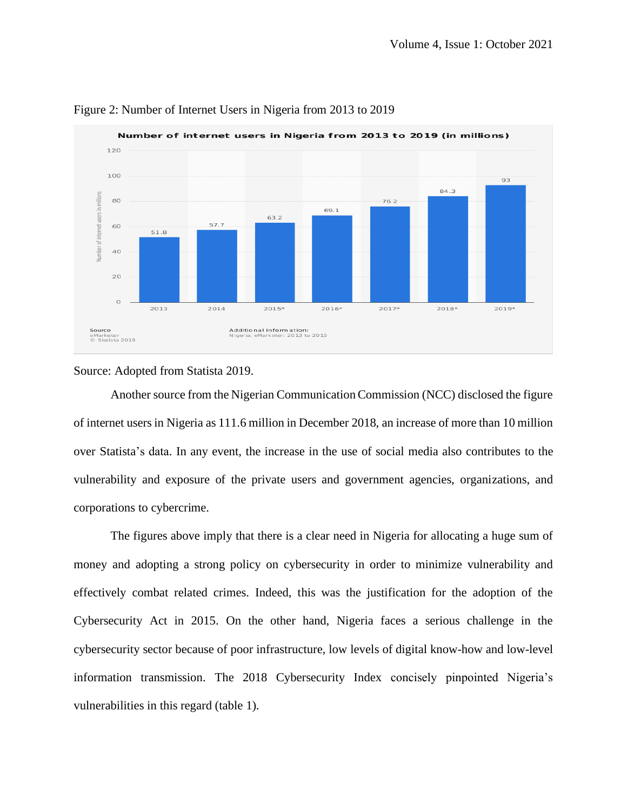

#### Figure 2: Number of Internet Users in Nigeria from 2013 to 2019

Source: Adopted from Statista 2019.

Another source from the Nigerian Communication Commission (NCC) disclosed the figure of internet users in Nigeria as 111.6 million in December 2018, an increase of more than 10 million over Statista's data. In any event, the increase in the use of social media also contributes to the vulnerability and exposure of the private users and government agencies, organizations, and corporations to cybercrime.

The figures above imply that there is a clear need in Nigeria for allocating a huge sum of money and adopting a strong policy on cybersecurity in order to minimize vulnerability and effectively combat related crimes. Indeed, this was the justification for the adoption of the Cybersecurity Act in 2015. On the other hand, Nigeria faces a serious challenge in the cybersecurity sector because of poor infrastructure, low levels of digital know-how and low-level information transmission. The 2018 Cybersecurity Index concisely pinpointed Nigeria's vulnerabilities in this regard (table 1).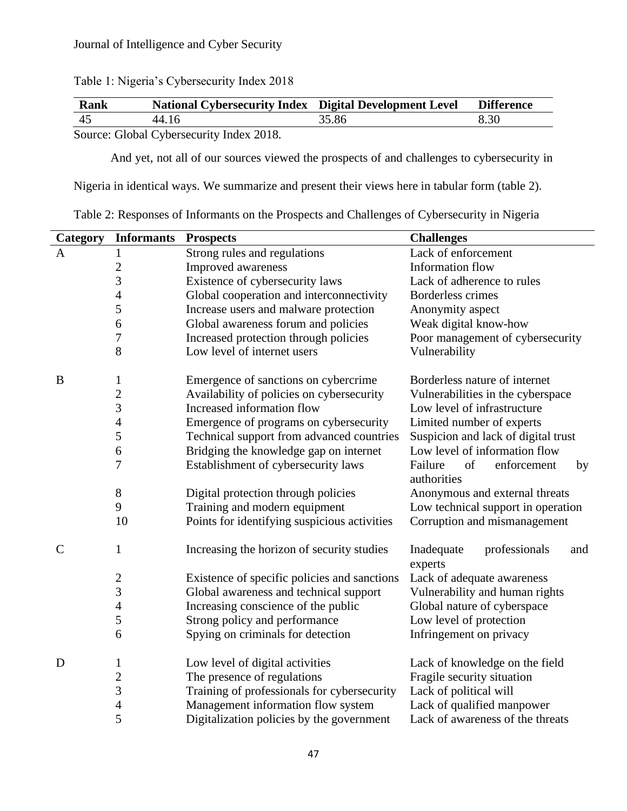| Rank                                  | <b>National Cybersecurity Index Digital Development Level</b> |       | <b>Difference</b> |  |
|---------------------------------------|---------------------------------------------------------------|-------|-------------------|--|
| -45                                   | 44.16                                                         | 35.86 | 8.30              |  |
| Course Clara Crisones with Lader 2010 |                                                               |       |                   |  |

Table 1: Nigeria's Cybersecurity Index 2018

Source: Global Cybersecurity Index 2018.

And yet, not all of our sources viewed the prospects of and challenges to cybersecurity in

Nigeria in identical ways. We summarize and present their views here in tabular form (table 2).

| Category    | <b>Informants</b>       | <b>Prospects</b>                             | <b>Challenges</b>                                 |
|-------------|-------------------------|----------------------------------------------|---------------------------------------------------|
| A           | 1                       | Strong rules and regulations                 | Lack of enforcement                               |
|             | $\overline{c}$          | Improved awareness                           | Information flow                                  |
|             | 3                       | Existence of cybersecurity laws              | Lack of adherence to rules                        |
|             | $\overline{4}$          | Global cooperation and interconnectivity     | <b>Borderless crimes</b>                          |
|             | 5                       | Increase users and malware protection        | Anonymity aspect                                  |
|             | 6                       | Global awareness forum and policies          | Weak digital know-how                             |
|             | 7                       | Increased protection through policies        | Poor management of cybersecurity                  |
|             | 8                       | Low level of internet users                  | Vulnerability                                     |
| B           | $\mathbf{1}$            | Emergence of sanctions on cybercrime         | Borderless nature of internet                     |
|             | $\overline{c}$          | Availability of policies on cybersecurity    | Vulnerabilities in the cyberspace                 |
|             | 3                       | Increased information flow                   | Low level of infrastructure                       |
|             | 4                       | Emergence of programs on cybersecurity       | Limited number of experts                         |
|             | 5                       | Technical support from advanced countries    | Suspicion and lack of digital trust               |
|             | 6                       | Bridging the knowledge gap on internet       | Low level of information flow                     |
|             | 7                       | Establishment of cybersecurity laws          | of<br>enforcement<br>Failure<br>by<br>authorities |
|             | $8\,$                   | Digital protection through policies          | Anonymous and external threats                    |
|             | 9                       | Training and modern equipment                | Low technical support in operation                |
|             | 10                      | Points for identifying suspicious activities | Corruption and mismanagement                      |
| $\mathbf C$ | 1                       | Increasing the horizon of security studies   | Inadequate<br>professionals<br>and<br>experts     |
|             | $\boldsymbol{2}$        | Existence of specific policies and sanctions | Lack of adequate awareness                        |
|             | 3                       | Global awareness and technical support       | Vulnerability and human rights                    |
|             | $\overline{4}$          | Increasing conscience of the public          | Global nature of cyberspace                       |
|             | 5                       | Strong policy and performance                | Low level of protection                           |
|             | 6                       | Spying on criminals for detection            | Infringement on privacy                           |
| D           | $\mathbf{1}$            | Low level of digital activities              | Lack of knowledge on the field                    |
|             | $\overline{\mathbf{c}}$ | The presence of regulations                  | Fragile security situation                        |
|             | 3                       | Training of professionals for cybersecurity  | Lack of political will                            |
|             | $\overline{4}$          | Management information flow system           | Lack of qualified manpower                        |
|             | 5                       | Digitalization policies by the government    | Lack of awareness of the threats                  |

Table 2: Responses of Informants on the Prospects and Challenges of Cybersecurity in Nigeria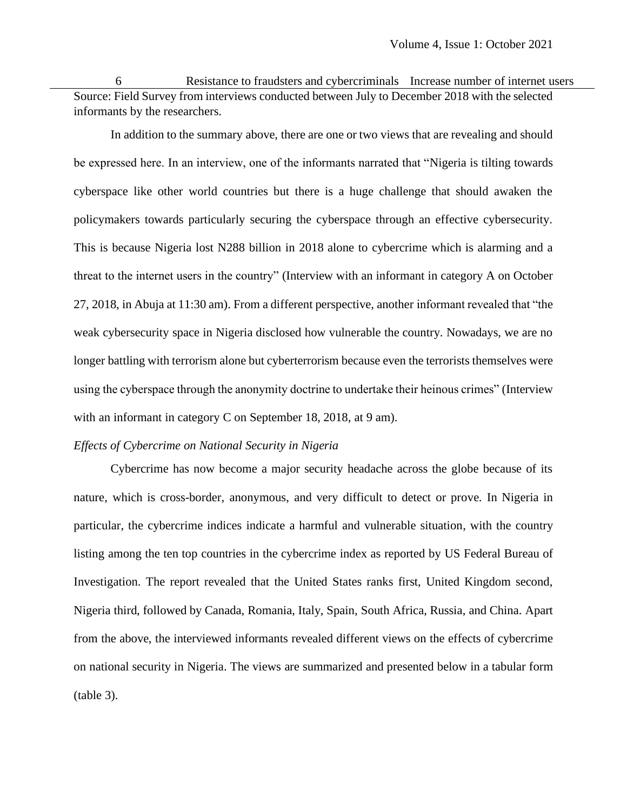Resistance to fraudsters and cybercriminals Increase number of internet users Source: Field Survey from interviews conducted between July to December 2018 with the selected informants by the researchers.

In addition to the summary above, there are one or two views that are revealing and should be expressed here. In an interview, one of the informants narrated that "Nigeria is tilting towards cyberspace like other world countries but there is a huge challenge that should awaken the policymakers towards particularly securing the cyberspace through an effective cybersecurity. This is because Nigeria lost N288 billion in 2018 alone to cybercrime which is alarming and a threat to the internet users in the country" (Interview with an informant in category A on October 27, 2018, in Abuja at 11:30 am). From a different perspective, another informant revealed that "the weak cybersecurity space in Nigeria disclosed how vulnerable the country. Nowadays, we are no longer battling with terrorism alone but cyberterrorism because even the terrorists themselves were using the cyberspace through the anonymity doctrine to undertake their heinous crimes" (Interview with an informant in category C on September 18, 2018, at 9 am).

## *Effects of Cybercrime on National Security in Nigeria*

Cybercrime has now become a major security headache across the globe because of its nature, which is cross-border, anonymous, and very difficult to detect or prove. In Nigeria in particular, the cybercrime indices indicate a harmful and vulnerable situation, with the country listing among the ten top countries in the cybercrime index as reported by US Federal Bureau of Investigation. The report revealed that the United States ranks first, United Kingdom second, Nigeria third, followed by Canada, Romania, Italy, Spain, South Africa, Russia, and China. Apart from the above, the interviewed informants revealed different views on the effects of cybercrime on national security in Nigeria. The views are summarized and presented below in a tabular form (table 3).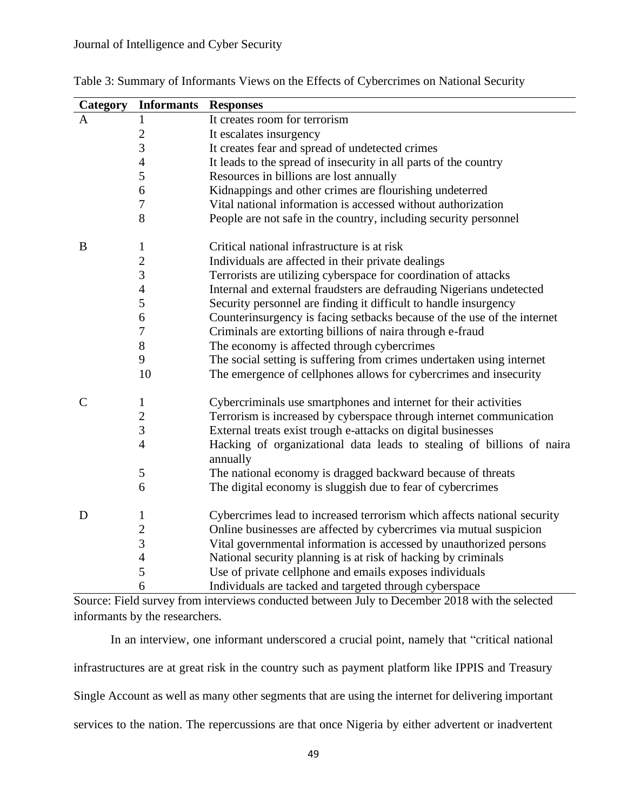| Category      | <b>Informants</b>       | <b>Responses</b>                                                                  |
|---------------|-------------------------|-----------------------------------------------------------------------------------|
| A             | 1                       | It creates room for terrorism                                                     |
|               | $\overline{2}$          | It escalates insurgency                                                           |
|               | 3                       | It creates fear and spread of undetected crimes                                   |
|               | $\overline{4}$          | It leads to the spread of insecurity in all parts of the country                  |
|               | 5                       | Resources in billions are lost annually                                           |
|               | 6                       | Kidnappings and other crimes are flourishing undeterred                           |
|               | $\overline{7}$          | Vital national information is accessed without authorization                      |
|               | 8                       | People are not safe in the country, including security personnel                  |
| B             | $\mathbf{1}$            | Critical national infrastructure is at risk                                       |
|               | $\overline{\mathbf{c}}$ | Individuals are affected in their private dealings                                |
|               | $\overline{3}$          | Terrorists are utilizing cyberspace for coordination of attacks                   |
|               | $\overline{4}$          | Internal and external fraudsters are defrauding Nigerians undetected              |
|               | 5                       | Security personnel are finding it difficult to handle insurgency                  |
|               | 6                       | Counterinsurgency is facing setbacks because of the use of the internet           |
|               | $\boldsymbol{7}$        | Criminals are extorting billions of naira through e-fraud                         |
|               | $8\,$                   | The economy is affected through cybercrimes                                       |
|               | 9                       | The social setting is suffering from crimes undertaken using internet             |
|               | 10                      | The emergence of cellphones allows for cybercrimes and insecurity                 |
| $\mathcal{C}$ | 1                       | Cybercriminals use smartphones and internet for their activities                  |
|               | $\overline{c}$          | Terrorism is increased by cyberspace through internet communication               |
|               | $\overline{3}$          | External treats exist trough e-attacks on digital businesses                      |
|               | $\overline{4}$          | Hacking of organizational data leads to stealing of billions of naira<br>annually |
|               | $\sqrt{5}$              | The national economy is dragged backward because of threats                       |
|               | 6                       | The digital economy is sluggish due to fear of cybercrimes                        |
| D             | $\mathbf{1}$            | Cybercrimes lead to increased terrorism which affects national security           |
|               | $\overline{c}$          | Online businesses are affected by cybercrimes via mutual suspicion                |
|               | 3                       | Vital governmental information is accessed by unauthorized persons                |
|               | $\overline{4}$          | National security planning is at risk of hacking by criminals                     |
|               | 5                       | Use of private cellphone and emails exposes individuals                           |
|               | 6                       | Individuals are tacked and targeted through cyberspace                            |

Table 3: Summary of Informants Views on the Effects of Cybercrimes on National Security

Source: Field survey from interviews conducted between July to December 2018 with the selected informants by the researchers.

In an interview, one informant underscored a crucial point, namely that "critical national infrastructures are at great risk in the country such as payment platform like IPPIS and Treasury Single Account as well as many other segments that are using the internet for delivering important services to the nation. The repercussions are that once Nigeria by either advertent or inadvertent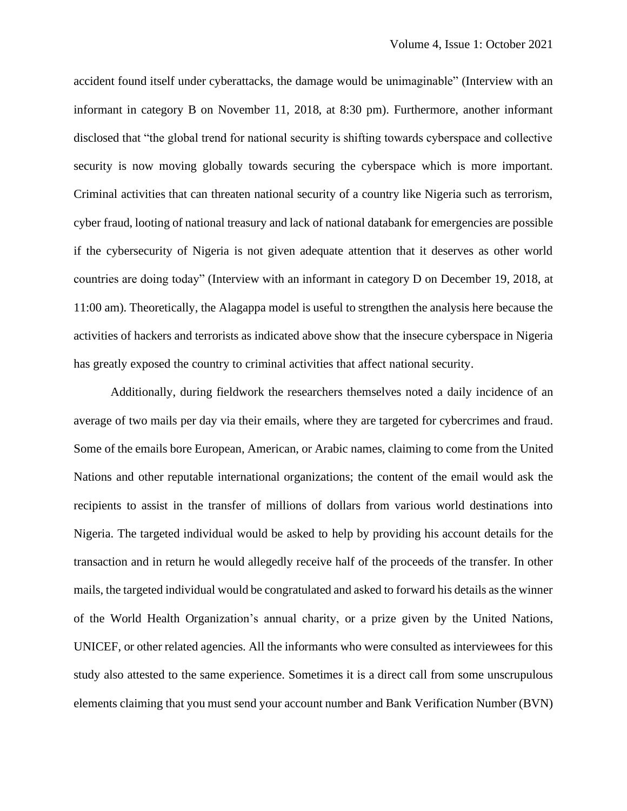accident found itself under cyberattacks, the damage would be unimaginable" (Interview with an informant in category B on November 11, 2018, at 8:30 pm). Furthermore, another informant disclosed that "the global trend for national security is shifting towards cyberspace and collective security is now moving globally towards securing the cyberspace which is more important. Criminal activities that can threaten national security of a country like Nigeria such as terrorism, cyber fraud, looting of national treasury and lack of national databank for emergencies are possible if the cybersecurity of Nigeria is not given adequate attention that it deserves as other world countries are doing today" (Interview with an informant in category D on December 19, 2018, at 11:00 am). Theoretically, the Alagappa model is useful to strengthen the analysis here because the activities of hackers and terrorists as indicated above show that the insecure cyberspace in Nigeria has greatly exposed the country to criminal activities that affect national security.

Additionally, during fieldwork the researchers themselves noted a daily incidence of an average of two mails per day via their emails, where they are targeted for cybercrimes and fraud. Some of the emails bore European, American, or Arabic names, claiming to come from the United Nations and other reputable international organizations; the content of the email would ask the recipients to assist in the transfer of millions of dollars from various world destinations into Nigeria. The targeted individual would be asked to help by providing his account details for the transaction and in return he would allegedly receive half of the proceeds of the transfer. In other mails, the targeted individual would be congratulated and asked to forward his details as the winner of the World Health Organization's annual charity, or a prize given by the United Nations, UNICEF, or other related agencies. All the informants who were consulted as interviewees for this study also attested to the same experience. Sometimes it is a direct call from some unscrupulous elements claiming that you must send your account number and Bank Verification Number (BVN)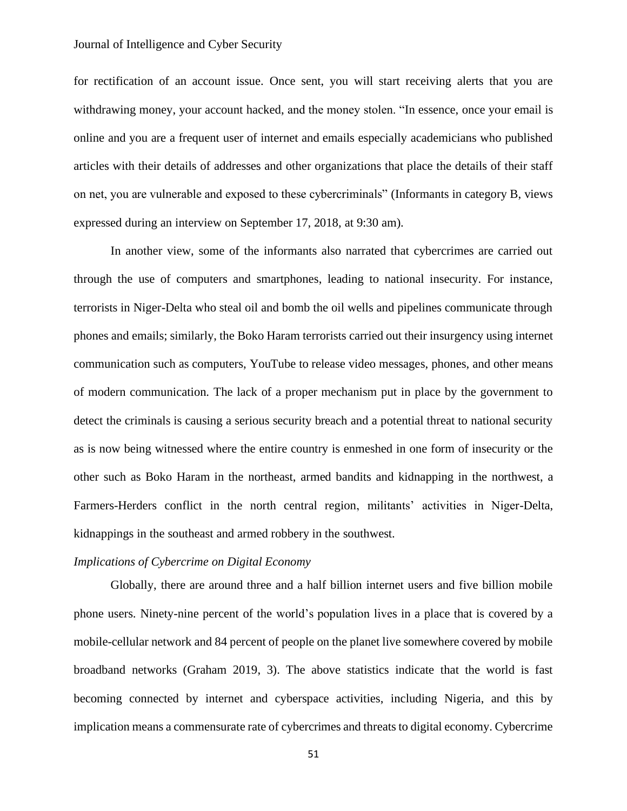for rectification of an account issue. Once sent, you will start receiving alerts that you are withdrawing money, your account hacked, and the money stolen. "In essence, once your email is online and you are a frequent user of internet and emails especially academicians who published articles with their details of addresses and other organizations that place the details of their staff on net, you are vulnerable and exposed to these cybercriminals" (Informants in category B, views expressed during an interview on September 17, 2018, at 9:30 am).

In another view, some of the informants also narrated that cybercrimes are carried out through the use of computers and smartphones, leading to national insecurity. For instance, terrorists in Niger-Delta who steal oil and bomb the oil wells and pipelines communicate through phones and emails; similarly, the Boko Haram terrorists carried out their insurgency using internet communication such as computers, YouTube to release video messages, phones, and other means of modern communication. The lack of a proper mechanism put in place by the government to detect the criminals is causing a serious security breach and a potential threat to national security as is now being witnessed where the entire country is enmeshed in one form of insecurity or the other such as Boko Haram in the northeast, armed bandits and kidnapping in the northwest, a Farmers-Herders conflict in the north central region, militants' activities in Niger-Delta, kidnappings in the southeast and armed robbery in the southwest.

#### *Implications of Cybercrime on Digital Economy*

Globally, there are around three and a half billion internet users and five billion mobile phone users. Ninety-nine percent of the world's population lives in a place that is covered by a mobile-cellular network and 84 percent of people on the planet live somewhere covered by mobile broadband networks (Graham 2019, 3). The above statistics indicate that the world is fast becoming connected by internet and cyberspace activities, including Nigeria, and this by implication means a commensurate rate of cybercrimes and threats to digital economy. Cybercrime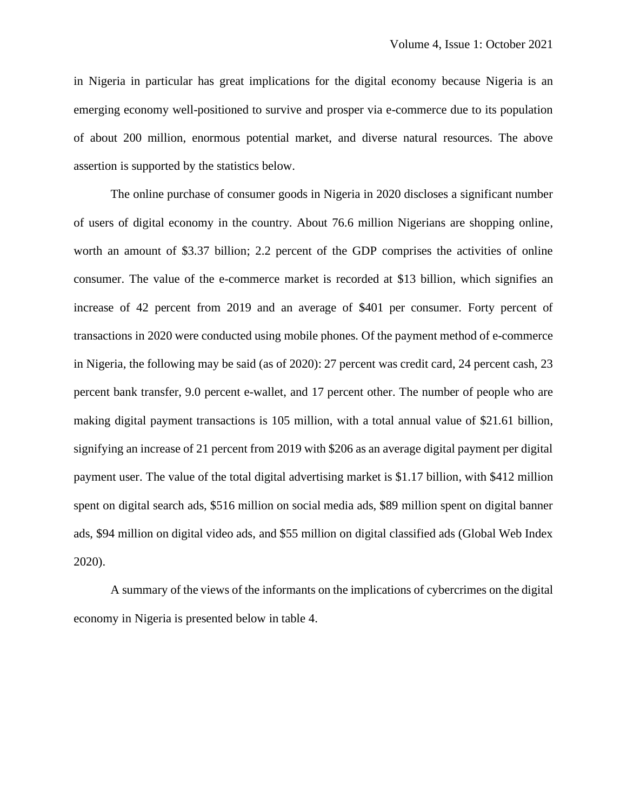in Nigeria in particular has great implications for the digital economy because Nigeria is an emerging economy well-positioned to survive and prosper via e-commerce due to its population of about 200 million, enormous potential market, and diverse natural resources. The above assertion is supported by the statistics below.

The online purchase of consumer goods in Nigeria in 2020 discloses a significant number of users of digital economy in the country. About 76.6 million Nigerians are shopping online, worth an amount of \$3.37 billion; 2.2 percent of the GDP comprises the activities of online consumer. The value of the e-commerce market is recorded at \$13 billion, which signifies an increase of 42 percent from 2019 and an average of \$401 per consumer. Forty percent of transactions in 2020 were conducted using mobile phones. Of the payment method of e-commerce in Nigeria, the following may be said (as of 2020): 27 percent was credit card, 24 percent cash, 23 percent bank transfer, 9.0 percent e-wallet, and 17 percent other. The number of people who are making digital payment transactions is 105 million, with a total annual value of \$21.61 billion, signifying an increase of 21 percent from 2019 with \$206 as an average digital payment per digital payment user. The value of the total digital advertising market is \$1.17 billion, with \$412 million spent on digital search ads, \$516 million on social media ads, \$89 million spent on digital banner ads, \$94 million on digital video ads, and \$55 million on digital classified ads (Global Web Index 2020).

A summary of the views of the informants on the implications of cybercrimes on the digital economy in Nigeria is presented below in table 4.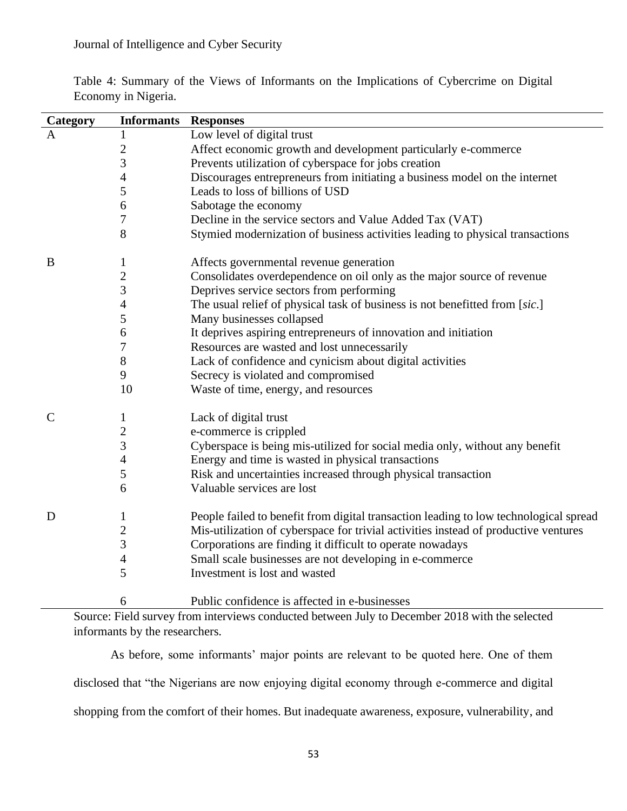| Category      | <b>Informants Responses</b> |                                                                                       |
|---------------|-----------------------------|---------------------------------------------------------------------------------------|
| $\mathbf{A}$  | $\mathbf{1}$                | Low level of digital trust                                                            |
|               | $\overline{c}$              | Affect economic growth and development particularly e-commerce                        |
|               | 3                           | Prevents utilization of cyberspace for jobs creation                                  |
|               | 4                           | Discourages entrepreneurs from initiating a business model on the internet            |
|               | 5                           | Leads to loss of billions of USD                                                      |
|               | 6                           | Sabotage the economy                                                                  |
|               | 7                           | Decline in the service sectors and Value Added Tax (VAT)                              |
|               | 8                           | Stymied modernization of business activities leading to physical transactions         |
| B             | $\mathbf{1}$                | Affects governmental revenue generation                                               |
|               | $\overline{c}$              | Consolidates overdependence on oil only as the major source of revenue                |
|               | 3                           | Deprives service sectors from performing                                              |
|               | $\overline{\mathcal{A}}$    | The usual relief of physical task of business is not benefitted from [sic.]           |
|               | 5                           | Many businesses collapsed                                                             |
|               | 6                           | It deprives aspiring entrepreneurs of innovation and initiation                       |
|               | 7                           | Resources are wasted and lost unnecessarily                                           |
|               | $8\,$                       | Lack of confidence and cynicism about digital activities                              |
|               | 9                           | Secrecy is violated and compromised                                                   |
|               | 10                          | Waste of time, energy, and resources                                                  |
| $\mathcal{C}$ | $\mathbf{1}$                | Lack of digital trust                                                                 |
|               | $\overline{c}$              | e-commerce is crippled                                                                |
|               | 3                           | Cyberspace is being mis-utilized for social media only, without any benefit           |
|               | 4                           | Energy and time is wasted in physical transactions                                    |
|               | 5                           | Risk and uncertainties increased through physical transaction                         |
|               | 6                           | Valuable services are lost                                                            |
| D             | 1                           | People failed to benefit from digital transaction leading to low technological spread |
|               | $\overline{c}$              | Mis-utilization of cyberspace for trivial activities instead of productive ventures   |
|               | 3                           | Corporations are finding it difficult to operate nowadays                             |
|               | $\overline{4}$              | Small scale businesses are not developing in e-commerce                               |
|               | 5                           | Investment is lost and wasted                                                         |
|               | 6                           | Public confidence is affected in e-businesses                                         |

Table 4: Summary of the Views of Informants on the Implications of Cybercrime on Digital Economy in Nigeria.

Source: Field survey from interviews conducted between July to December 2018 with the selected informants by the researchers.

As before, some informants' major points are relevant to be quoted here. One of them disclosed that "the Nigerians are now enjoying digital economy through e-commerce and digital shopping from the comfort of their homes. But inadequate awareness, exposure, vulnerability, and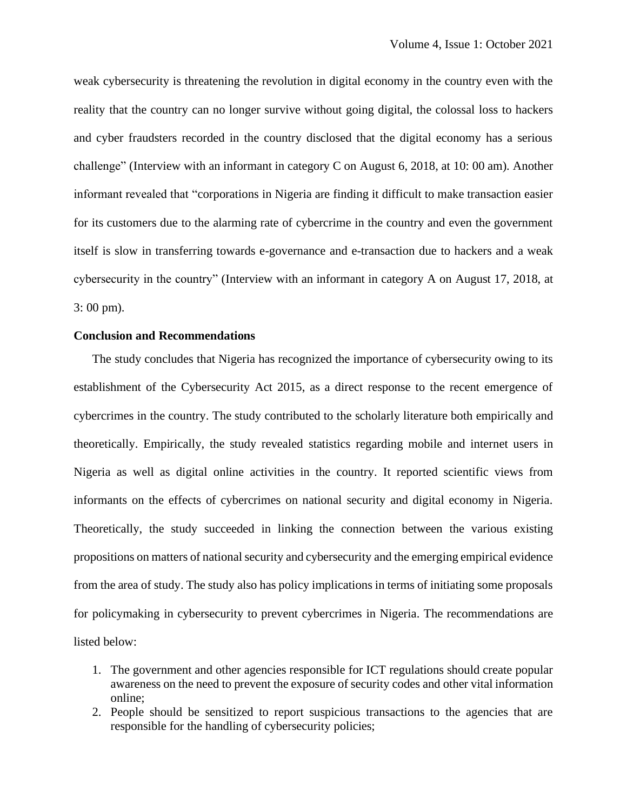weak cybersecurity is threatening the revolution in digital economy in the country even with the reality that the country can no longer survive without going digital, the colossal loss to hackers and cyber fraudsters recorded in the country disclosed that the digital economy has a serious challenge" (Interview with an informant in category C on August 6, 2018, at 10: 00 am). Another informant revealed that "corporations in Nigeria are finding it difficult to make transaction easier for its customers due to the alarming rate of cybercrime in the country and even the government itself is slow in transferring towards e-governance and e-transaction due to hackers and a weak cybersecurity in the country" (Interview with an informant in category A on August 17, 2018, at 3: 00 pm).

## **Conclusion and Recommendations**

The study concludes that Nigeria has recognized the importance of cybersecurity owing to its establishment of the Cybersecurity Act 2015, as a direct response to the recent emergence of cybercrimes in the country. The study contributed to the scholarly literature both empirically and theoretically. Empirically, the study revealed statistics regarding mobile and internet users in Nigeria as well as digital online activities in the country. It reported scientific views from informants on the effects of cybercrimes on national security and digital economy in Nigeria. Theoretically, the study succeeded in linking the connection between the various existing propositions on matters of national security and cybersecurity and the emerging empirical evidence from the area of study. The study also has policy implications in terms of initiating some proposals for policymaking in cybersecurity to prevent cybercrimes in Nigeria. The recommendations are listed below:

- 1. The government and other agencies responsible for ICT regulations should create popular awareness on the need to prevent the exposure of security codes and other vital information online;
- 2. People should be sensitized to report suspicious transactions to the agencies that are responsible for the handling of cybersecurity policies;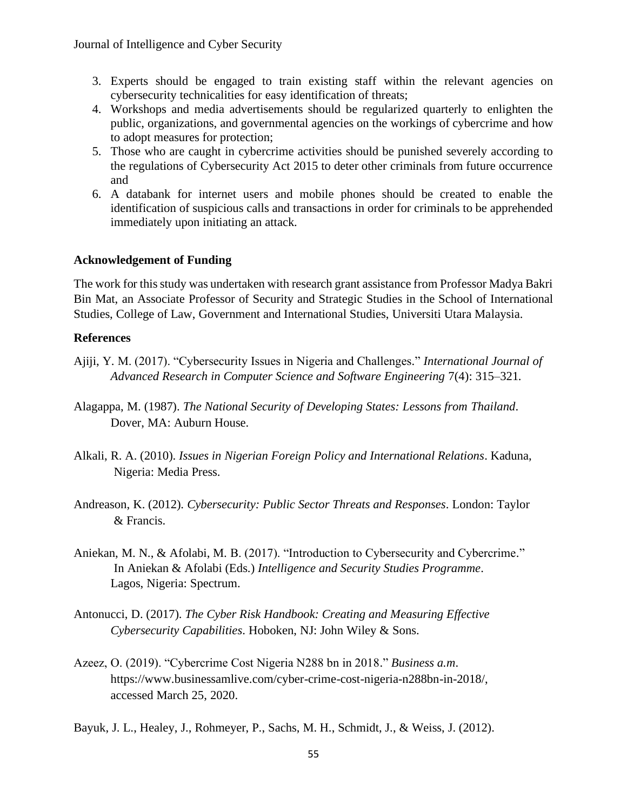- 3. Experts should be engaged to train existing staff within the relevant agencies on cybersecurity technicalities for easy identification of threats;
- 4. Workshops and media advertisements should be regularized quarterly to enlighten the public, organizations, and governmental agencies on the workings of cybercrime and how to adopt measures for protection;
- 5. Those who are caught in cybercrime activities should be punished severely according to the regulations of Cybersecurity Act 2015 to deter other criminals from future occurrence and
- 6. A databank for internet users and mobile phones should be created to enable the identification of suspicious calls and transactions in order for criminals to be apprehended immediately upon initiating an attack.

# **Acknowledgement of Funding**

The work for this study was undertaken with research grant assistance from Professor Madya Bakri Bin Mat, an Associate Professor of Security and Strategic Studies in the School of International Studies, College of Law, Government and International Studies, Universiti Utara Malaysia.

# **References**

- Ajiji, Y. M. (2017). "Cybersecurity Issues in Nigeria and Challenges." *International Journal of Advanced Research in Computer Science and Software Engineering* 7(4): 315–321.
- Alagappa, M. (1987). *The National Security of Developing States: Lessons from Thailand*. Dover, MA: Auburn House.
- Alkali, R. A. (2010). *Issues in Nigerian Foreign Policy and International Relations*. Kaduna, Nigeria: Media Press.
- Andreason, K. (2012). *Cybersecurity: Public Sector Threats and Responses*. London: Taylor & Francis.
- Aniekan, M. N., & Afolabi, M. B. (2017). "Introduction to Cybersecurity and Cybercrime." In Aniekan & Afolabi (Eds.) *Intelligence and Security Studies Programme*. Lagos, Nigeria: Spectrum.
- Antonucci, D. (2017). *The Cyber Risk Handbook: Creating and Measuring Effective Cybersecurity Capabilities*. Hoboken, NJ: John Wiley & Sons.
- Azeez, O. (2019). "Cybercrime Cost Nigeria N288 bn in 2018." *Business a.m*. [https://www.businessamlive.com/cyber-crime-cost-nigeria-n288bn-in-2018/,](https://www.businessamlive.com/cyber-crime-cost-nigeria-n288bn-in-2018/) accessed March 25, 2020.
- Bayuk, J. L., Healey, J., Rohmeyer, P., Sachs, M. H., Schmidt, J., & Weiss, J. (2012).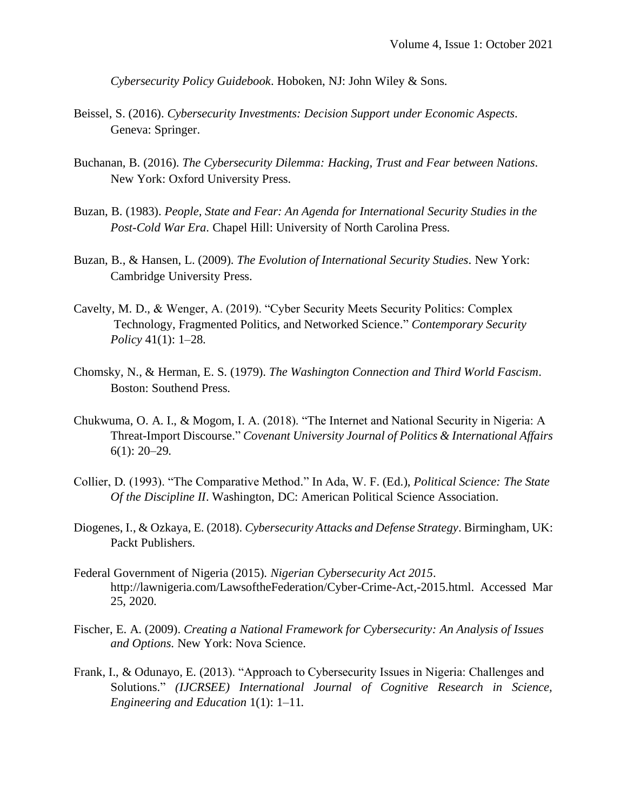*Cybersecurity Policy Guidebook*. Hoboken, NJ: John Wiley & Sons.

- Beissel, S. (2016). *Cybersecurity Investments: Decision Support under Economic Aspects*. Geneva: Springer.
- Buchanan, B. (2016). *The Cybersecurity Dilemma: Hacking, Trust and Fear between Nations*. New York: Oxford University Press.
- Buzan, B. (1983). *People, State and Fear: An Agenda for International Security Studies in the Post-Cold War Era*. Chapel Hill: University of North Carolina Press.
- Buzan, B., & Hansen, L. (2009). *The Evolution of International Security Studies*. New York: Cambridge University Press.
- Cavelty, M. D., & Wenger, A. (2019). "Cyber Security Meets Security Politics: Complex Technology, Fragmented Politics, and Networked Science." *Contemporary Security Policy* 41(1): 1–28.
- Chomsky, N., & Herman, E. S. (1979). *The Washington Connection and Third World Fascism*. Boston: Southend Press.
- Chukwuma, O. A. I., & Mogom, I. A. (2018). "The Internet and National Security in Nigeria: A Threat-Import Discourse." *Covenant University Journal of Politics & International Affairs*   $6(1)$ : 20–29.
- Collier, D. (1993). "The Comparative Method." In Ada, W. F. (Ed.), *Political Science: The State Of the Discipline II*. Washington, DC: American Political Science Association.
- Diogenes, I., & Ozkaya, E. (2018). *Cybersecurity Attacks and Defense Strategy*. Birmingham, UK: Packt Publishers.
- Federal Government of Nigeria (2015). *Nigerian Cybersecurity Act 2015*. http://lawnigeria.com/LawsoftheFederation/Cyber-Crime-Act,-2015.html. Accessed Mar 25, 2020.
- Fischer, E. A. (2009). *Creating a National Framework for Cybersecurity: An Analysis of Issues and Options*. New York: Nova Science.
- Frank, I., & Odunayo, E. (2013). "Approach to Cybersecurity Issues in Nigeria: Challenges and Solutions." *(IJCRSEE) International Journal of Cognitive Research in Science, Engineering and Education* 1(1): 1–11*.*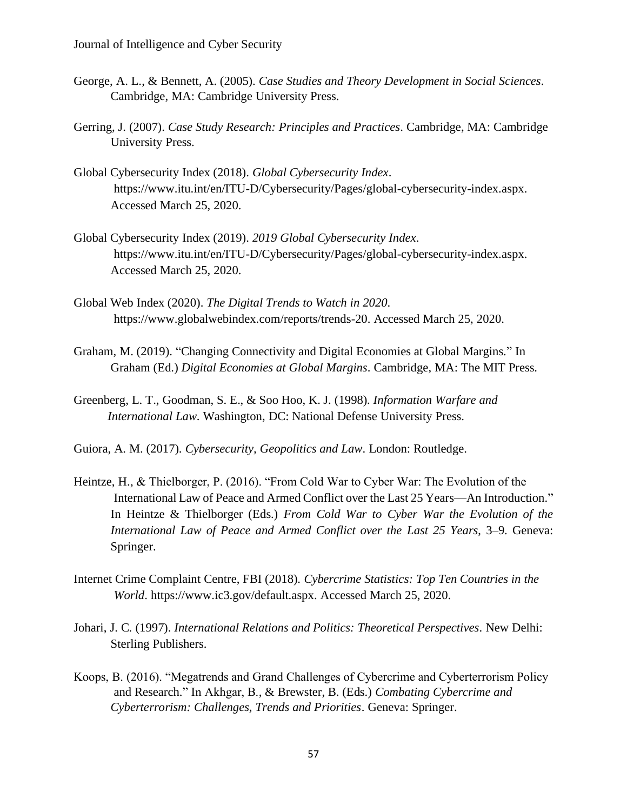- George, A. L., & Bennett, A. (2005). *Case Studies and Theory Development in Social Sciences*. Cambridge, MA: Cambridge University Press.
- Gerring, J. (2007). *Case Study Research: Principles and Practices*. Cambridge, MA: Cambridge University Press.
- Global Cybersecurity Index (2018). *Global Cybersecurity Index*. https://www.itu.int/en/ITU-D/Cybersecurity/Pages/global-cybersecurity-index.aspx. Accessed March 25, 2020.
- Global Cybersecurity Index (2019). *2019 Global Cybersecurity Index*. https://www.itu.int/en/ITU-D/Cybersecurity/Pages/global-cybersecurity-index.aspx. Accessed March 25, 2020.
- Global Web Index (2020). *The Digital Trends to Watch in 2020*. https://www.globalwebindex.com/reports/trends-20. Accessed March 25, 2020.
- Graham, M. (2019). "Changing Connectivity and Digital Economies at Global Margins." In Graham (Ed.) *Digital Economies at Global Margins*. Cambridge, MA: The MIT Press.
- Greenberg, L. T., Goodman, S. E., & Soo Hoo, K. J. (1998). *Information Warfare and International Law*. Washington, DC: National Defense University Press.
- Guiora, A. M. (2017). *Cybersecurity, Geopolitics and Law*. London: Routledge.
- Heintze, H., & Thielborger, P. (2016). "From Cold War to Cyber War: The Evolution of the International Law of Peace and Armed Conflict over the Last 25 Years—An Introduction." In Heintze & Thielborger (Eds.) *From Cold War to Cyber War the Evolution of the International Law of Peace and Armed Conflict over the Last 25 Years*, 3–9. Geneva: Springer.
- Internet Crime Complaint Centre, FBI (2018). *Cybercrime Statistics: Top Ten Countries in the World*. https://www.ic3.gov/default.aspx. Accessed March 25, 2020.
- Johari, J. C. (1997). *International Relations and Politics: Theoretical Perspectives*. New Delhi: Sterling Publishers.
- Koops, B. (2016). "Megatrends and Grand Challenges of Cybercrime and Cyberterrorism Policy and Research." In Akhgar, B., & Brewster, B. (Eds.) *Combating Cybercrime and Cyberterrorism: Challenges, Trends and Priorities*. Geneva: Springer.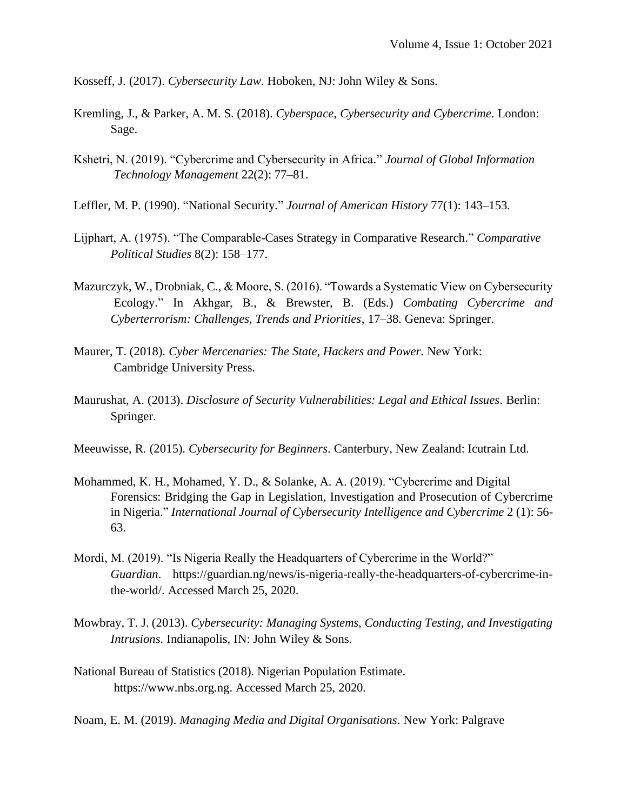Kosseff, J. (2017). *Cybersecurity Law*. Hoboken, NJ: John Wiley & Sons.

- Kremling, J., & Parker, A. M. S. (2018). *Cyberspace, Cybersecurity and Cybercrime*. London: Sage.
- Kshetri, N. (2019). "Cybercrime and Cybersecurity in Africa." *Journal of Global Information Technology Management* 22(2): 77–81.
- Leffler, M. P. (1990). "National Security." *Journal of American History* 77(1): 143–153.
- Lijphart, A. (1975). "The Comparable-Cases Strategy in Comparative Research." *Comparative Political Studies* 8(2): 158–177.
- Mazurczyk, W., Drobniak, C., & Moore, S. (2016). "Towards a Systematic View on Cybersecurity Ecology." In Akhgar, B., & Brewster, B. (Eds.) *Combating Cybercrime and Cyberterrorism: Challenges, Trends and Priorities*, 17–38. Geneva: Springer.
- Maurer, T. (2018). *Cyber Mercenaries: The State, Hackers and Power*. New York: Cambridge University Press.
- Maurushat, A. (2013). *Disclosure of Security Vulnerabilities: Legal and Ethical Issues*. Berlin: Springer.
- Meeuwisse, R. (2015). *Cybersecurity for Beginners*. Canterbury, New Zealand: Icutrain Ltd.
- Mohammed, K. H., Mohamed, Y. D., & Solanke, A. A. (2019). "Cybercrime and Digital Forensics: Bridging the Gap in Legislation, Investigation and Prosecution of Cybercrime in Nigeria." *International Journal of Cybersecurity Intelligence and Cybercrime* 2 (1): 56- 63.
- Mordi, M. (2019). "Is Nigeria Really the Headquarters of Cybercrime in the World?" *Guardian*. https://guardian.ng/news/is-nigeria-really-the-headquarters-of-cybercrime-inthe-world/. Accessed March 25, 2020.
- Mowbray, T. J. (2013). *Cybersecurity: Managing Systems, Conducting Testing, and Investigating Intrusions*. Indianapolis, IN: John Wiley & Sons.
- National Bureau of Statistics (2018). Nigerian Population Estimate. https://www.nbs.org.ng. Accessed March 25, 2020.
- Noam, E. M. (2019). *Managing Media and Digital Organisations*. New York: Palgrave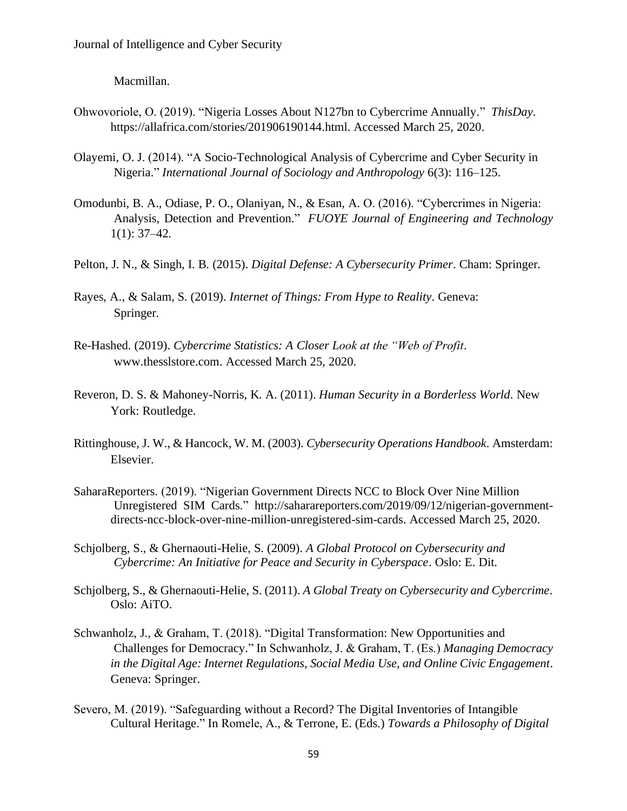Macmillan.

- Ohwovoriole, O. (2019). "Nigeria Losses About N127bn to Cybercrime Annually." *ThisDay*. [https://allafrica.com/stories/201906190144.html.](https://allafrica.com/stories/201906190144.html) Accessed March 25, 2020.
- Olayemi, O. J. (2014). "A Socio-Technological Analysis of Cybercrime and Cyber Security in Nigeria." *International Journal of Sociology and Anthropology* 6(3): 116–125.
- Omodunbi, B. A., Odiase, P. O., Olaniyan, N., & Esan, A. O. (2016). "Cybercrimes in Nigeria: Analysis, Detection and Prevention." *FUOYE Journal of Engineering and Technology*  $1(1): 37-42.$
- Pelton, J. N., & Singh, I. B. (2015). *Digital Defense: A Cybersecurity Primer*. Cham: Springer.
- Rayes, A., & Salam, S. (2019). *Internet of Things: From Hype to Reality*. Geneva: Springer.
- Re-Hashed. (2019). *Cybercrime Statistics: A Closer Look at the "Web of Profit*. www.thesslstore.com. Accessed March 25, 2020.
- Reveron, D. S. & Mahoney-Norris, K. A. (2011). *Human Security in a Borderless World*. New York: Routledge.
- Rittinghouse, J. W., & Hancock, W. M. (2003). *Cybersecurity Operations Handbook*. Amsterdam: Elsevier.
- SaharaReporters. (2019). "Nigerian Government Directs NCC to Block Over Nine Million Unregistered SIM Cards." [http://saharareporters.com/2019/09/12/nigerian-government](http://saharareporters.com/2019/09/12/nigerian-government-directs-ncc-block-over-nine-million-unregistered-sim-cards)[directs-ncc-block-over-nine-million-unregistered-sim-cards.](http://saharareporters.com/2019/09/12/nigerian-government-directs-ncc-block-over-nine-million-unregistered-sim-cards) Accessed March 25, 2020.
- Schjolberg, S., & Ghernaouti-Helie, S. (2009). *A Global Protocol on Cybersecurity and Cybercrime: An Initiative for Peace and Security in Cyberspace*. Oslo: E. Dit.
- Schjolberg, S., & Ghernaouti-Helie, S. (2011). *A Global Treaty on Cybersecurity and Cybercrime*. Oslo: AiTO.
- Schwanholz, J., & Graham, T. (2018). "Digital Transformation: New Opportunities and Challenges for Democracy." In Schwanholz, J. & Graham, T. (Es.) *Managing Democracy in the Digital Age: Internet Regulations, Social Media Use, and Online Civic Engagement*. Geneva: Springer.
- Severo, M. (2019). "Safeguarding without a Record? The Digital Inventories of Intangible Cultural Heritage." In Romele, A., & Terrone, E. (Eds.) *Towards a Philosophy of Digital*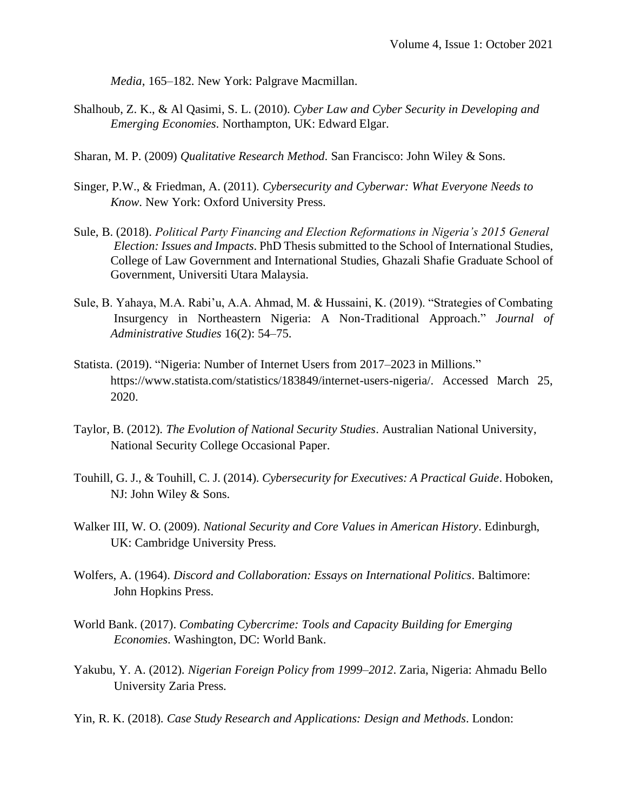*Media*, 165–182. New York: Palgrave Macmillan.

- Shalhoub, Z. K., & Al Qasimi, S. L. (2010). *Cyber Law and Cyber Security in Developing and Emerging Economies*. Northampton, UK: Edward Elgar.
- Sharan, M. P. (2009) *Qualitative Research Method*. San Francisco: John Wiley & Sons.
- Singer, P.W., & Friedman, A. (2011). *Cybersecurity and Cyberwar: What Everyone Needs to Know*. New York: Oxford University Press.
- Sule, B. (2018). *Political Party Financing and Election Reformations in Nigeria's 2015 General Election: Issues and Impacts*. PhD Thesis submitted to the School of International Studies, College of Law Government and International Studies, Ghazali Shafie Graduate School of Government, Universiti Utara Malaysia.
- Sule, B. Yahaya, M.A. Rabi'u, A.A. Ahmad, M. & Hussaini, K. (2019). "Strategies of Combating Insurgency in Northeastern Nigeria: A Non-Traditional Approach." *Journal of Administrative Studies* 16(2): 54–75.
- Statista. (2019). "Nigeria: Number of Internet Users from 2017–2023 in Millions." https://www.statista.com/statistics/183849/internet-users-nigeria/. Accessed March 25, 2020.
- Taylor, B. (2012). *The Evolution of National Security Studies*. Australian National University, National Security College Occasional Paper.
- Touhill, G. J., & Touhill, C. J. (2014). *Cybersecurity for Executives: A Practical Guide*. Hoboken, NJ: John Wiley & Sons.
- Walker III, W. O. (2009). *National Security and Core Values in American History*. Edinburgh, UK: Cambridge University Press.
- Wolfers, A. (1964). *Discord and Collaboration: Essays on International Politics*. Baltimore: John Hopkins Press.
- World Bank. (2017). *Combating Cybercrime: Tools and Capacity Building for Emerging Economies*. Washington, DC: World Bank.
- Yakubu, Y. A. (2012). *Nigerian Foreign Policy from 1999–2012*. Zaria, Nigeria: Ahmadu Bello University Zaria Press.
- Yin, R. K. (2018). *Case Study Research and Applications: Design and Methods*. London: